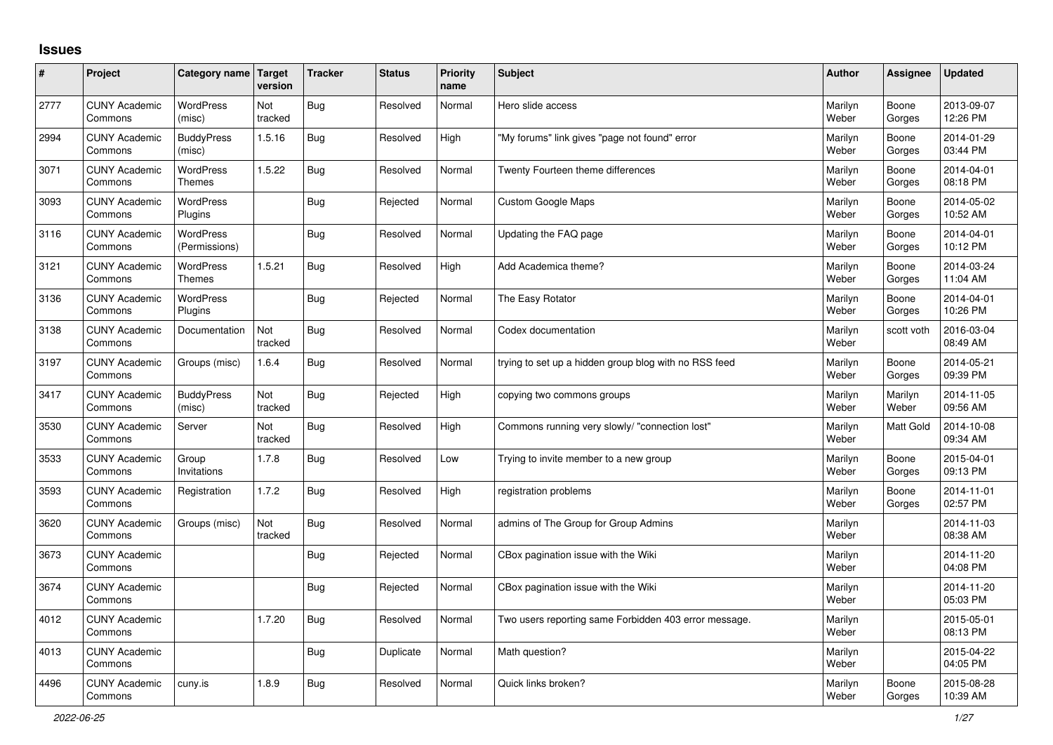## **Issues**

| #    | Project                         | Category name Target              | version        | <b>Tracker</b> | <b>Status</b> | <b>Priority</b><br>name | <b>Subject</b>                                        | <b>Author</b>    | Assignee         | <b>Updated</b>         |
|------|---------------------------------|-----------------------------------|----------------|----------------|---------------|-------------------------|-------------------------------------------------------|------------------|------------------|------------------------|
| 2777 | <b>CUNY Academic</b><br>Commons | <b>WordPress</b><br>(misc)        | Not<br>tracked | Bug            | Resolved      | Normal                  | Hero slide access                                     | Marilyn<br>Weber | Boone<br>Gorges  | 2013-09-07<br>12:26 PM |
| 2994 | <b>CUNY Academic</b><br>Commons | <b>BuddyPress</b><br>(misc)       | 1.5.16         | Bug            | Resolved      | High                    | 'My forums" link gives "page not found" error         | Marilyn<br>Weber | Boone<br>Gorges  | 2014-01-29<br>03:44 PM |
| 3071 | <b>CUNY Academic</b><br>Commons | <b>WordPress</b><br><b>Themes</b> | 1.5.22         | <b>Bug</b>     | Resolved      | Normal                  | Twenty Fourteen theme differences                     | Marilyn<br>Weber | Boone<br>Gorges  | 2014-04-01<br>08:18 PM |
| 3093 | <b>CUNY Academic</b><br>Commons | <b>WordPress</b><br>Plugins       |                | Bug            | Rejected      | Normal                  | <b>Custom Google Maps</b>                             | Marilyn<br>Weber | Boone<br>Gorges  | 2014-05-02<br>10:52 AM |
| 3116 | <b>CUNY Academic</b><br>Commons | <b>WordPress</b><br>(Permissions) |                | <b>Bug</b>     | Resolved      | Normal                  | Updating the FAQ page                                 | Marilyn<br>Weber | Boone<br>Gorges  | 2014-04-01<br>10:12 PM |
| 3121 | <b>CUNY Academic</b><br>Commons | WordPress<br><b>Themes</b>        | 1.5.21         | Bug            | Resolved      | High                    | Add Academica theme?                                  | Marilyn<br>Weber | Boone<br>Gorges  | 2014-03-24<br>11:04 AM |
| 3136 | <b>CUNY Academic</b><br>Commons | <b>WordPress</b><br>Plugins       |                | Bug            | Rejected      | Normal                  | The Easy Rotator                                      | Marilyn<br>Weber | Boone<br>Gorges  | 2014-04-01<br>10:26 PM |
| 3138 | <b>CUNY Academic</b><br>Commons | Documentation                     | Not<br>tracked | Bug            | Resolved      | Normal                  | Codex documentation                                   | Marilyn<br>Weber | scott voth       | 2016-03-04<br>08:49 AM |
| 3197 | <b>CUNY Academic</b><br>Commons | Groups (misc)                     | 1.6.4          | Bug            | Resolved      | Normal                  | trying to set up a hidden group blog with no RSS feed | Marilyn<br>Weber | Boone<br>Gorges  | 2014-05-21<br>09:39 PM |
| 3417 | <b>CUNY Academic</b><br>Commons | <b>BuddyPress</b><br>(misc)       | Not<br>tracked | Bug            | Rejected      | High                    | copying two commons groups                            | Marilyn<br>Weber | Marilyn<br>Weber | 2014-11-05<br>09:56 AM |
| 3530 | <b>CUNY Academic</b><br>Commons | Server                            | Not<br>tracked | Bug            | Resolved      | High                    | Commons running very slowly/ "connection lost"        | Marilyn<br>Weber | <b>Matt Gold</b> | 2014-10-08<br>09:34 AM |
| 3533 | <b>CUNY Academic</b><br>Commons | Group<br>Invitations              | 1.7.8          | Bug            | Resolved      | Low                     | Trying to invite member to a new group                | Marilyn<br>Weber | Boone<br>Gorges  | 2015-04-01<br>09:13 PM |
| 3593 | <b>CUNY Academic</b><br>Commons | Registration                      | 1.7.2          | Bug            | Resolved      | High                    | registration problems                                 | Marilyn<br>Weber | Boone<br>Gorges  | 2014-11-01<br>02:57 PM |
| 3620 | <b>CUNY Academic</b><br>Commons | Groups (misc)                     | Not<br>tracked | Bug            | Resolved      | Normal                  | admins of The Group for Group Admins                  | Marilyn<br>Weber |                  | 2014-11-03<br>08:38 AM |
| 3673 | <b>CUNY Academic</b><br>Commons |                                   |                | Bug            | Rejected      | Normal                  | CBox pagination issue with the Wiki                   | Marilyn<br>Weber |                  | 2014-11-20<br>04:08 PM |
| 3674 | <b>CUNY Academic</b><br>Commons |                                   |                | Bug            | Rejected      | Normal                  | CBox pagination issue with the Wiki                   | Marilyn<br>Weber |                  | 2014-11-20<br>05:03 PM |
| 4012 | <b>CUNY Academic</b><br>Commons |                                   | 1.7.20         | Bug            | Resolved      | Normal                  | Two users reporting same Forbidden 403 error message. | Marilyn<br>Weber |                  | 2015-05-01<br>08:13 PM |
| 4013 | <b>CUNY Academic</b><br>Commons |                                   |                | Bug            | Duplicate     | Normal                  | Math question?                                        | Marilyn<br>Weber |                  | 2015-04-22<br>04:05 PM |
| 4496 | <b>CUNY Academic</b><br>Commons | cuny.is                           | 1.8.9          | Bug            | Resolved      | Normal                  | Quick links broken?                                   | Marilyn<br>Weber | Boone<br>Gorges  | 2015-08-28<br>10:39 AM |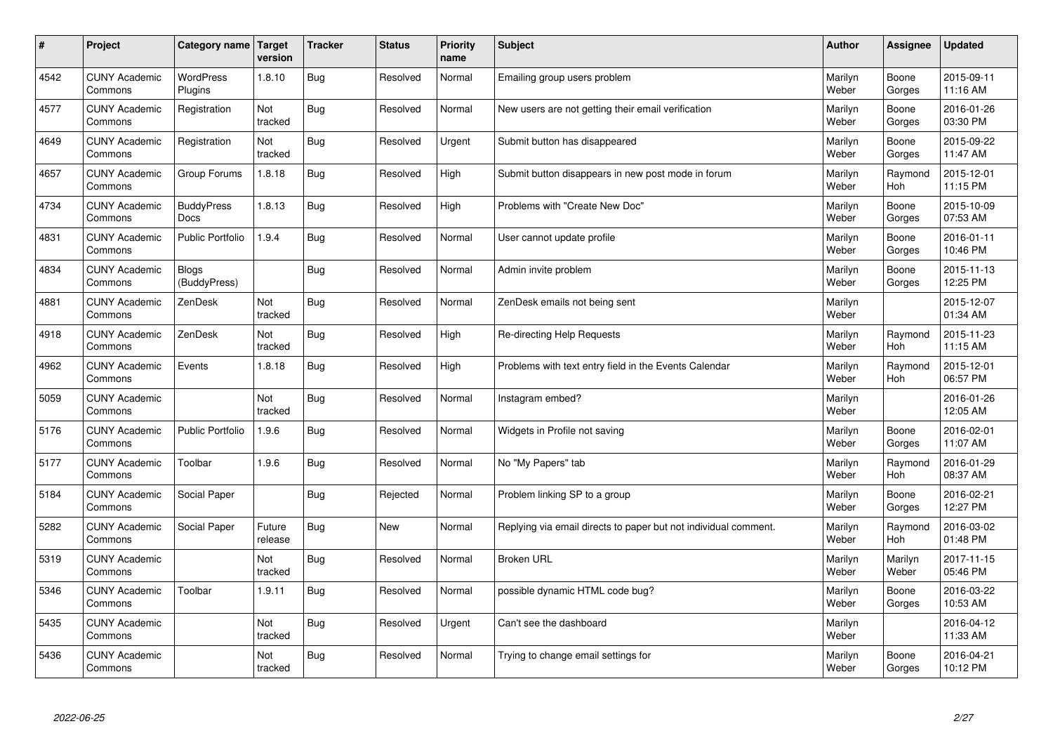| $\sharp$ | Project                         | Category name                | Target<br>version | <b>Tracker</b> | <b>Status</b> | <b>Priority</b><br>name | <b>Subject</b>                                                  | <b>Author</b>    | Assignee              | <b>Updated</b>         |
|----------|---------------------------------|------------------------------|-------------------|----------------|---------------|-------------------------|-----------------------------------------------------------------|------------------|-----------------------|------------------------|
| 4542     | <b>CUNY Academic</b><br>Commons | <b>WordPress</b><br>Plugins  | 1.8.10            | Bug            | Resolved      | Normal                  | Emailing group users problem                                    | Marilyn<br>Weber | Boone<br>Gorges       | 2015-09-11<br>11:16 AM |
| 4577     | <b>CUNY Academic</b><br>Commons | Registration                 | Not<br>tracked    | Bug            | Resolved      | Normal                  | New users are not getting their email verification              | Marilyn<br>Weber | Boone<br>Gorges       | 2016-01-26<br>03:30 PM |
| 4649     | <b>CUNY Academic</b><br>Commons | Registration                 | Not<br>tracked    | Bug            | Resolved      | Urgent                  | Submit button has disappeared                                   | Marilyn<br>Weber | Boone<br>Gorges       | 2015-09-22<br>11:47 AM |
| 4657     | <b>CUNY Academic</b><br>Commons | Group Forums                 | 1.8.18            | Bug            | Resolved      | High                    | Submit button disappears in new post mode in forum              | Marilyn<br>Weber | Raymond<br><b>Hoh</b> | 2015-12-01<br>11:15 PM |
| 4734     | <b>CUNY Academic</b><br>Commons | <b>BuddyPress</b><br>Docs    | 1.8.13            | Bug            | Resolved      | High                    | Problems with "Create New Doc"                                  | Marilyn<br>Weber | Boone<br>Gorges       | 2015-10-09<br>07:53 AM |
| 4831     | <b>CUNY Academic</b><br>Commons | <b>Public Portfolio</b>      | 1.9.4             | Bug            | Resolved      | Normal                  | User cannot update profile                                      | Marilyn<br>Weber | Boone<br>Gorges       | 2016-01-11<br>10:46 PM |
| 4834     | <b>CUNY Academic</b><br>Commons | <b>Blogs</b><br>(BuddyPress) |                   | Bug            | Resolved      | Normal                  | Admin invite problem                                            | Marilyn<br>Weber | Boone<br>Gorges       | 2015-11-13<br>12:25 PM |
| 4881     | <b>CUNY Academic</b><br>Commons | ZenDesk                      | Not<br>tracked    | Bug            | Resolved      | Normal                  | ZenDesk emails not being sent                                   | Marilyn<br>Weber |                       | 2015-12-07<br>01:34 AM |
| 4918     | <b>CUNY Academic</b><br>Commons | ZenDesk                      | Not<br>tracked    | Bug            | Resolved      | High                    | Re-directing Help Requests                                      | Marilyn<br>Weber | Raymond<br>Hoh        | 2015-11-23<br>11:15 AM |
| 4962     | <b>CUNY Academic</b><br>Commons | Events                       | 1.8.18            | Bug            | Resolved      | High                    | Problems with text entry field in the Events Calendar           | Marilyn<br>Weber | Raymond<br>Hoh        | 2015-12-01<br>06:57 PM |
| 5059     | <b>CUNY Academic</b><br>Commons |                              | Not<br>tracked    | Bug            | Resolved      | Normal                  | Instagram embed?                                                | Marilyn<br>Weber |                       | 2016-01-26<br>12:05 AM |
| 5176     | <b>CUNY Academic</b><br>Commons | <b>Public Portfolio</b>      | 1.9.6             | <b>Bug</b>     | Resolved      | Normal                  | Widgets in Profile not saving                                   | Marilyn<br>Weber | Boone<br>Gorges       | 2016-02-01<br>11:07 AM |
| 5177     | <b>CUNY Academic</b><br>Commons | Toolbar                      | 1.9.6             | <b>Bug</b>     | Resolved      | Normal                  | No "My Papers" tab                                              | Marilyn<br>Weber | Raymond<br>Hoh        | 2016-01-29<br>08:37 AM |
| 5184     | <b>CUNY Academic</b><br>Commons | Social Paper                 |                   | Bug            | Rejected      | Normal                  | Problem linking SP to a group                                   | Marilyn<br>Weber | Boone<br>Gorges       | 2016-02-21<br>12:27 PM |
| 5282     | <b>CUNY Academic</b><br>Commons | Social Paper                 | Future<br>release | Bug            | <b>New</b>    | Normal                  | Replying via email directs to paper but not individual comment. | Marilyn<br>Weber | Raymond<br><b>Hoh</b> | 2016-03-02<br>01:48 PM |
| 5319     | <b>CUNY Academic</b><br>Commons |                              | Not<br>tracked    | Bug            | Resolved      | Normal                  | <b>Broken URL</b>                                               | Marilyn<br>Weber | Marilyn<br>Weber      | 2017-11-15<br>05:46 PM |
| 5346     | <b>CUNY Academic</b><br>Commons | Toolbar                      | 1.9.11            | Bug            | Resolved      | Normal                  | possible dynamic HTML code bug?                                 | Marilyn<br>Weber | Boone<br>Gorges       | 2016-03-22<br>10:53 AM |
| 5435     | <b>CUNY Academic</b><br>Commons |                              | Not<br>tracked    | <b>Bug</b>     | Resolved      | Urgent                  | Can't see the dashboard                                         | Marilyn<br>Weber |                       | 2016-04-12<br>11:33 AM |
| 5436     | <b>CUNY Academic</b><br>Commons |                              | Not<br>tracked    | Bug            | Resolved      | Normal                  | Trying to change email settings for                             | Marilyn<br>Weber | Boone<br>Gorges       | 2016-04-21<br>10:12 PM |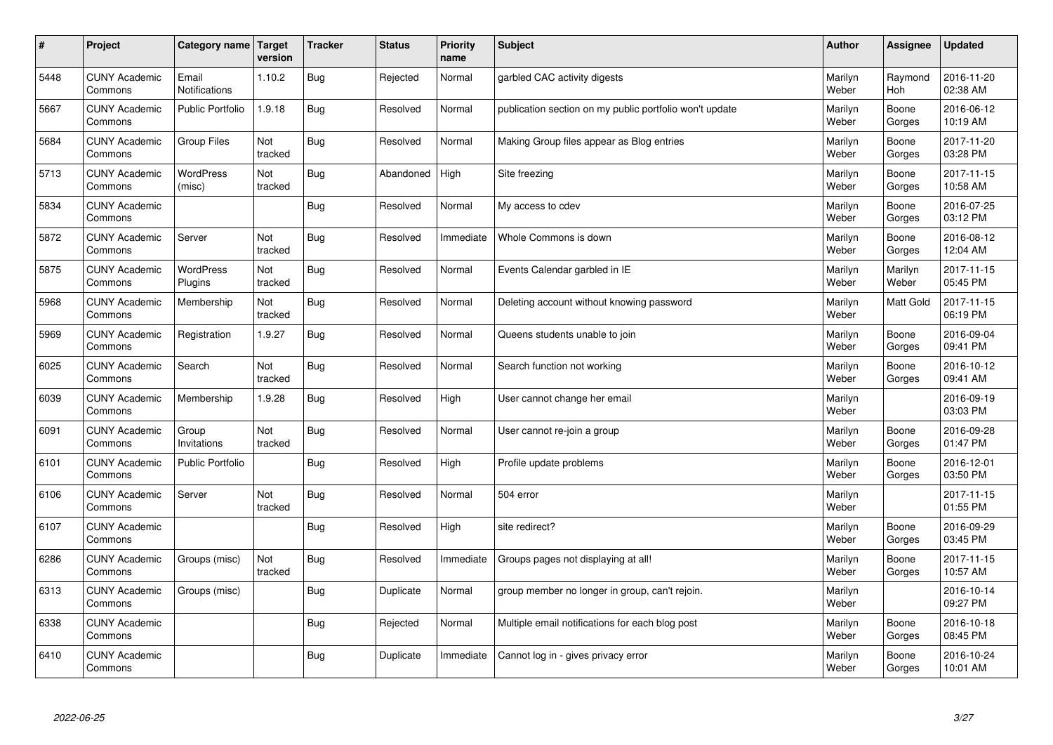| $\vert$ # | Project                         | Category name   Target      | version        | <b>Tracker</b> | <b>Status</b> | <b>Priority</b><br>name | <b>Subject</b>                                          | <b>Author</b>    | Assignee         | <b>Updated</b>         |
|-----------|---------------------------------|-----------------------------|----------------|----------------|---------------|-------------------------|---------------------------------------------------------|------------------|------------------|------------------------|
| 5448      | <b>CUNY Academic</b><br>Commons | Email<br>Notifications      | 1.10.2         | Bug            | Rejected      | Normal                  | garbled CAC activity digests                            | Marilyn<br>Weber | Raymond<br>Hoh   | 2016-11-20<br>02:38 AM |
| 5667      | <b>CUNY Academic</b><br>Commons | <b>Public Portfolio</b>     | 1.9.18         | Bug            | Resolved      | Normal                  | publication section on my public portfolio won't update | Marilyn<br>Weber | Boone<br>Gorges  | 2016-06-12<br>10:19 AM |
| 5684      | <b>CUNY Academic</b><br>Commons | <b>Group Files</b>          | Not<br>tracked | <b>Bug</b>     | Resolved      | Normal                  | Making Group files appear as Blog entries               | Marilyn<br>Weber | Boone<br>Gorges  | 2017-11-20<br>03:28 PM |
| 5713      | <b>CUNY Academic</b><br>Commons | WordPress<br>(misc)         | Not<br>tracked | <b>Bug</b>     | Abandoned     | High                    | Site freezing                                           | Marilyn<br>Weber | Boone<br>Gorges  | 2017-11-15<br>10:58 AM |
| 5834      | <b>CUNY Academic</b><br>Commons |                             |                | <b>Bug</b>     | Resolved      | Normal                  | My access to cdev                                       | Marilyn<br>Weber | Boone<br>Gorges  | 2016-07-25<br>03:12 PM |
| 5872      | <b>CUNY Academic</b><br>Commons | Server                      | Not<br>tracked | <b>Bug</b>     | Resolved      | Immediate               | Whole Commons is down                                   | Marilyn<br>Weber | Boone<br>Gorges  | 2016-08-12<br>12:04 AM |
| 5875      | <b>CUNY Academic</b><br>Commons | <b>WordPress</b><br>Plugins | Not<br>tracked | Bug            | Resolved      | Normal                  | Events Calendar garbled in IE                           | Marilyn<br>Weber | Marilyn<br>Weber | 2017-11-15<br>05:45 PM |
| 5968      | <b>CUNY Academic</b><br>Commons | Membership                  | Not<br>tracked | <b>Bug</b>     | Resolved      | Normal                  | Deleting account without knowing password               | Marilyn<br>Weber | Matt Gold        | 2017-11-15<br>06:19 PM |
| 5969      | <b>CUNY Academic</b><br>Commons | Registration                | 1.9.27         | Bug            | Resolved      | Normal                  | Queens students unable to join                          | Marilyn<br>Weber | Boone<br>Gorges  | 2016-09-04<br>09:41 PM |
| 6025      | <b>CUNY Academic</b><br>Commons | Search                      | Not<br>tracked | Bug            | Resolved      | Normal                  | Search function not working                             | Marilyn<br>Weber | Boone<br>Gorges  | 2016-10-12<br>09:41 AM |
| 6039      | <b>CUNY Academic</b><br>Commons | Membership                  | 1.9.28         | Bug            | Resolved      | High                    | User cannot change her email                            | Marilyn<br>Weber |                  | 2016-09-19<br>03:03 PM |
| 6091      | <b>CUNY Academic</b><br>Commons | Group<br>Invitations        | Not<br>tracked | <b>Bug</b>     | Resolved      | Normal                  | User cannot re-join a group                             | Marilyn<br>Weber | Boone<br>Gorges  | 2016-09-28<br>01:47 PM |
| 6101      | <b>CUNY Academic</b><br>Commons | <b>Public Portfolio</b>     |                | Bug            | Resolved      | High                    | Profile update problems                                 | Marilyn<br>Weber | Boone<br>Gorges  | 2016-12-01<br>03:50 PM |
| 6106      | <b>CUNY Academic</b><br>Commons | Server                      | Not<br>tracked | <b>Bug</b>     | Resolved      | Normal                  | 504 error                                               | Marilyn<br>Weber |                  | 2017-11-15<br>01:55 PM |
| 6107      | <b>CUNY Academic</b><br>Commons |                             |                | Bug            | Resolved      | High                    | site redirect?                                          | Marilyn<br>Weber | Boone<br>Gorges  | 2016-09-29<br>03:45 PM |
| 6286      | <b>CUNY Academic</b><br>Commons | Groups (misc)               | Not<br>tracked | Bug            | Resolved      | Immediate               | Groups pages not displaying at all!                     | Marilyn<br>Weber | Boone<br>Gorges  | 2017-11-15<br>10:57 AM |
| 6313      | <b>CUNY Academic</b><br>Commons | Groups (misc)               |                | <b>Bug</b>     | Duplicate     | Normal                  | group member no longer in group, can't rejoin.          | Marilyn<br>Weber |                  | 2016-10-14<br>09:27 PM |
| 6338      | <b>CUNY Academic</b><br>Commons |                             |                | <b>Bug</b>     | Rejected      | Normal                  | Multiple email notifications for each blog post         | Marilyn<br>Weber | Boone<br>Gorges  | 2016-10-18<br>08:45 PM |
| 6410      | <b>CUNY Academic</b><br>Commons |                             |                | Bug            | Duplicate     | Immediate               | Cannot log in - gives privacy error                     | Marilyn<br>Weber | Boone<br>Gorges  | 2016-10-24<br>10:01 AM |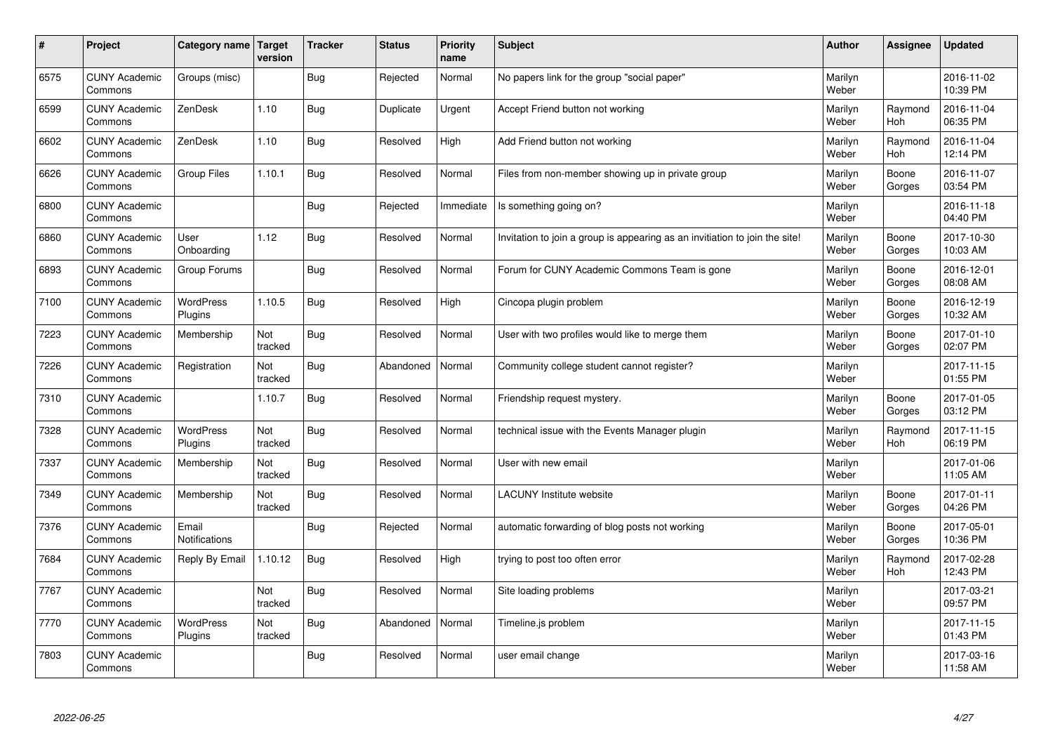| #    | Project                         | <b>Category name</b>        | Target<br>version | <b>Tracker</b> | <b>Status</b> | <b>Priority</b><br>name | <b>Subject</b>                                                              | <b>Author</b>    | <b>Assignee</b> | <b>Updated</b>         |
|------|---------------------------------|-----------------------------|-------------------|----------------|---------------|-------------------------|-----------------------------------------------------------------------------|------------------|-----------------|------------------------|
| 6575 | <b>CUNY Academic</b><br>Commons | Groups (misc)               |                   | Bug            | Rejected      | Normal                  | No papers link for the group "social paper"                                 | Marilyn<br>Weber |                 | 2016-11-02<br>10:39 PM |
| 6599 | <b>CUNY Academic</b><br>Commons | ZenDesk                     | 1.10              | <b>Bug</b>     | Duplicate     | Urgent                  | Accept Friend button not working                                            | Marilyn<br>Weber | Raymond<br>Hoh  | 2016-11-04<br>06:35 PM |
| 6602 | <b>CUNY Academic</b><br>Commons | ZenDesk                     | 1.10              | <b>Bug</b>     | Resolved      | High                    | Add Friend button not working                                               | Marilyn<br>Weber | Raymond<br>Hoh  | 2016-11-04<br>12:14 PM |
| 6626 | <b>CUNY Academic</b><br>Commons | Group Files                 | 1.10.1            | <b>Bug</b>     | Resolved      | Normal                  | Files from non-member showing up in private group                           | Marilyn<br>Weber | Boone<br>Gorges | 2016-11-07<br>03:54 PM |
| 6800 | <b>CUNY Academic</b><br>Commons |                             |                   | Bug            | Rejected      | Immediate               | Is something going on?                                                      | Marilyn<br>Weber |                 | 2016-11-18<br>04:40 PM |
| 6860 | <b>CUNY Academic</b><br>Commons | User<br>Onboarding          | 1.12              | Bug            | Resolved      | Normal                  | Invitation to join a group is appearing as an invitiation to join the site! | Marilyn<br>Weber | Boone<br>Gorges | 2017-10-30<br>10:03 AM |
| 6893 | <b>CUNY Academic</b><br>Commons | Group Forums                |                   | <b>Bug</b>     | Resolved      | Normal                  | Forum for CUNY Academic Commons Team is gone                                | Marilyn<br>Weber | Boone<br>Gorges | 2016-12-01<br>08:08 AM |
| 7100 | <b>CUNY Academic</b><br>Commons | WordPress<br>Plugins        | 1.10.5            | <b>Bug</b>     | Resolved      | High                    | Cincopa plugin problem                                                      | Marilyn<br>Weber | Boone<br>Gorges | 2016-12-19<br>10:32 AM |
| 7223 | <b>CUNY Academic</b><br>Commons | Membership                  | Not<br>tracked    | Bug            | Resolved      | Normal                  | User with two profiles would like to merge them                             | Marilyn<br>Weber | Boone<br>Gorges | 2017-01-10<br>02:07 PM |
| 7226 | <b>CUNY Academic</b><br>Commons | Registration                | Not<br>tracked    | <b>Bug</b>     | Abandoned     | Normal                  | Community college student cannot register?                                  | Marilyn<br>Weber |                 | 2017-11-15<br>01:55 PM |
| 7310 | <b>CUNY Academic</b><br>Commons |                             | 1.10.7            | <b>Bug</b>     | Resolved      | Normal                  | Friendship request mystery.                                                 | Marilyn<br>Weber | Boone<br>Gorges | 2017-01-05<br>03:12 PM |
| 7328 | <b>CUNY Academic</b><br>Commons | <b>WordPress</b><br>Plugins | Not<br>tracked    | Bug            | Resolved      | Normal                  | technical issue with the Events Manager plugin                              | Marilyn<br>Weber | Raymond<br>Hoh  | 2017-11-15<br>06:19 PM |
| 7337 | <b>CUNY Academic</b><br>Commons | Membership                  | Not<br>tracked    | <b>Bug</b>     | Resolved      | Normal                  | User with new email                                                         | Marilyn<br>Weber |                 | 2017-01-06<br>11:05 AM |
| 7349 | <b>CUNY Academic</b><br>Commons | Membership                  | Not<br>tracked    | <b>Bug</b>     | Resolved      | Normal                  | <b>LACUNY Institute website</b>                                             | Marilyn<br>Weber | Boone<br>Gorges | 2017-01-11<br>04:26 PM |
| 7376 | <b>CUNY Academic</b><br>Commons | Email<br>Notifications      |                   | <b>Bug</b>     | Rejected      | Normal                  | automatic forwarding of blog posts not working                              | Marilyn<br>Weber | Boone<br>Gorges | 2017-05-01<br>10:36 PM |
| 7684 | <b>CUNY Academic</b><br>Commons | Reply By Email              | 1.10.12           | Bug            | Resolved      | High                    | trying to post too often error                                              | Marilyn<br>Weber | Raymond<br>Hoh  | 2017-02-28<br>12:43 PM |
| 7767 | <b>CUNY Academic</b><br>Commons |                             | Not<br>tracked    | <b>Bug</b>     | Resolved      | Normal                  | Site loading problems                                                       | Marilyn<br>Weber |                 | 2017-03-21<br>09:57 PM |
| 7770 | <b>CUNY Academic</b><br>Commons | <b>WordPress</b><br>Plugins | Not<br>tracked    | Bug            | Abandoned     | Normal                  | Timeline.js problem                                                         | Marilyn<br>Weber |                 | 2017-11-15<br>01:43 PM |
| 7803 | <b>CUNY Academic</b><br>Commons |                             |                   | Bug            | Resolved      | Normal                  | user email change                                                           | Marilyn<br>Weber |                 | 2017-03-16<br>11:58 AM |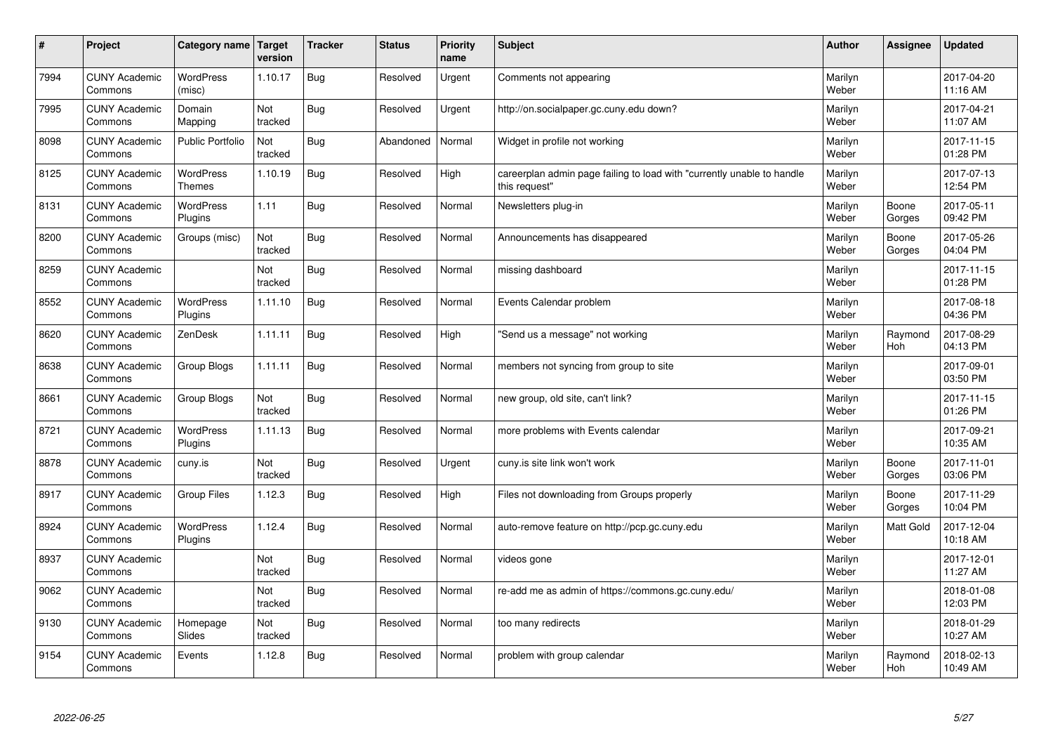| $\sharp$ | Project                         | Category name   Target            | version        | <b>Tracker</b> | <b>Status</b> | <b>Priority</b><br>name | <b>Subject</b>                                                                          | <b>Author</b>    | Assignee              | Updated                |
|----------|---------------------------------|-----------------------------------|----------------|----------------|---------------|-------------------------|-----------------------------------------------------------------------------------------|------------------|-----------------------|------------------------|
| 7994     | <b>CUNY Academic</b><br>Commons | <b>WordPress</b><br>(misc)        | 1.10.17        | Bug            | Resolved      | Urgent                  | Comments not appearing                                                                  | Marilyn<br>Weber |                       | 2017-04-20<br>11:16 AM |
| 7995     | <b>CUNY Academic</b><br>Commons | Domain<br>Mapping                 | Not<br>tracked | Bug            | Resolved      | Urgent                  | http://on.socialpaper.gc.cuny.edu down?                                                 | Marilyn<br>Weber |                       | 2017-04-21<br>11:07 AM |
| 8098     | <b>CUNY Academic</b><br>Commons | <b>Public Portfolio</b>           | Not<br>tracked | Bug            | Abandoned     | Normal                  | Widget in profile not working                                                           | Marilyn<br>Weber |                       | 2017-11-15<br>01:28 PM |
| 8125     | <b>CUNY Academic</b><br>Commons | <b>WordPress</b><br><b>Themes</b> | 1.10.19        | Bug            | Resolved      | High                    | careerplan admin page failing to load with "currently unable to handle<br>this request" | Marilyn<br>Weber |                       | 2017-07-13<br>12:54 PM |
| 8131     | <b>CUNY Academic</b><br>Commons | <b>WordPress</b><br>Plugins       | 1.11           | Bug            | Resolved      | Normal                  | Newsletters plug-in                                                                     | Marilyn<br>Weber | Boone<br>Gorges       | 2017-05-11<br>09:42 PM |
| 8200     | <b>CUNY Academic</b><br>Commons | Groups (misc)                     | Not<br>tracked | Bug            | Resolved      | Normal                  | Announcements has disappeared                                                           | Marilyn<br>Weber | Boone<br>Gorges       | 2017-05-26<br>04:04 PM |
| 8259     | <b>CUNY Academic</b><br>Commons |                                   | Not<br>tracked | Bug            | Resolved      | Normal                  | missing dashboard                                                                       | Marilyn<br>Weber |                       | 2017-11-15<br>01:28 PM |
| 8552     | <b>CUNY Academic</b><br>Commons | <b>WordPress</b><br>Plugins       | 1.11.10        | Bug            | Resolved      | Normal                  | Events Calendar problem                                                                 | Marilyn<br>Weber |                       | 2017-08-18<br>04:36 PM |
| 8620     | <b>CUNY Academic</b><br>Commons | ZenDesk                           | 1.11.11        | Bug            | Resolved      | High                    | 'Send us a message" not working                                                         | Marilyn<br>Weber | Raymond<br><b>Hoh</b> | 2017-08-29<br>04:13 PM |
| 8638     | <b>CUNY Academic</b><br>Commons | Group Blogs                       | 1.11.11        | Bug            | Resolved      | Normal                  | members not syncing from group to site                                                  | Marilyn<br>Weber |                       | 2017-09-01<br>03:50 PM |
| 8661     | <b>CUNY Academic</b><br>Commons | Group Blogs                       | Not<br>tracked | Bug            | Resolved      | Normal                  | new group, old site, can't link?                                                        | Marilyn<br>Weber |                       | 2017-11-15<br>01:26 PM |
| 8721     | <b>CUNY Academic</b><br>Commons | <b>WordPress</b><br>Plugins       | 1.11.13        | Bug            | Resolved      | Normal                  | more problems with Events calendar                                                      | Marilyn<br>Weber |                       | 2017-09-21<br>10:35 AM |
| 8878     | <b>CUNY Academic</b><br>Commons | cuny.is                           | Not<br>tracked | Bug            | Resolved      | Urgent                  | cuny is site link won't work                                                            | Marilyn<br>Weber | Boone<br>Gorges       | 2017-11-01<br>03:06 PM |
| 8917     | <b>CUNY Academic</b><br>Commons | Group Files                       | 1.12.3         | Bug            | Resolved      | High                    | Files not downloading from Groups properly                                              | Marilyn<br>Weber | Boone<br>Gorges       | 2017-11-29<br>10:04 PM |
| 8924     | <b>CUNY Academic</b><br>Commons | <b>WordPress</b><br>Plugins       | 1.12.4         | Bug            | Resolved      | Normal                  | auto-remove feature on http://pcp.gc.cuny.edu                                           | Marilyn<br>Weber | Matt Gold             | 2017-12-04<br>10:18 AM |
| 8937     | <b>CUNY Academic</b><br>Commons |                                   | Not<br>tracked | Bug            | Resolved      | Normal                  | videos gone                                                                             | Marilyn<br>Weber |                       | 2017-12-01<br>11:27 AM |
| 9062     | <b>CUNY Academic</b><br>Commons |                                   | Not<br>tracked | Bug            | Resolved      | Normal                  | re-add me as admin of https://commons.gc.cuny.edu/                                      | Marilyn<br>Weber |                       | 2018-01-08<br>12:03 PM |
| 9130     | <b>CUNY Academic</b><br>Commons | Homepage<br>Slides                | Not<br>tracked | Bug            | Resolved      | Normal                  | too many redirects                                                                      | Marilyn<br>Weber |                       | 2018-01-29<br>10:27 AM |
| 9154     | <b>CUNY Academic</b><br>Commons | Events                            | 1.12.8         | Bug            | Resolved      | Normal                  | problem with group calendar                                                             | Marilyn<br>Weber | Raymond<br>Hoh        | 2018-02-13<br>10:49 AM |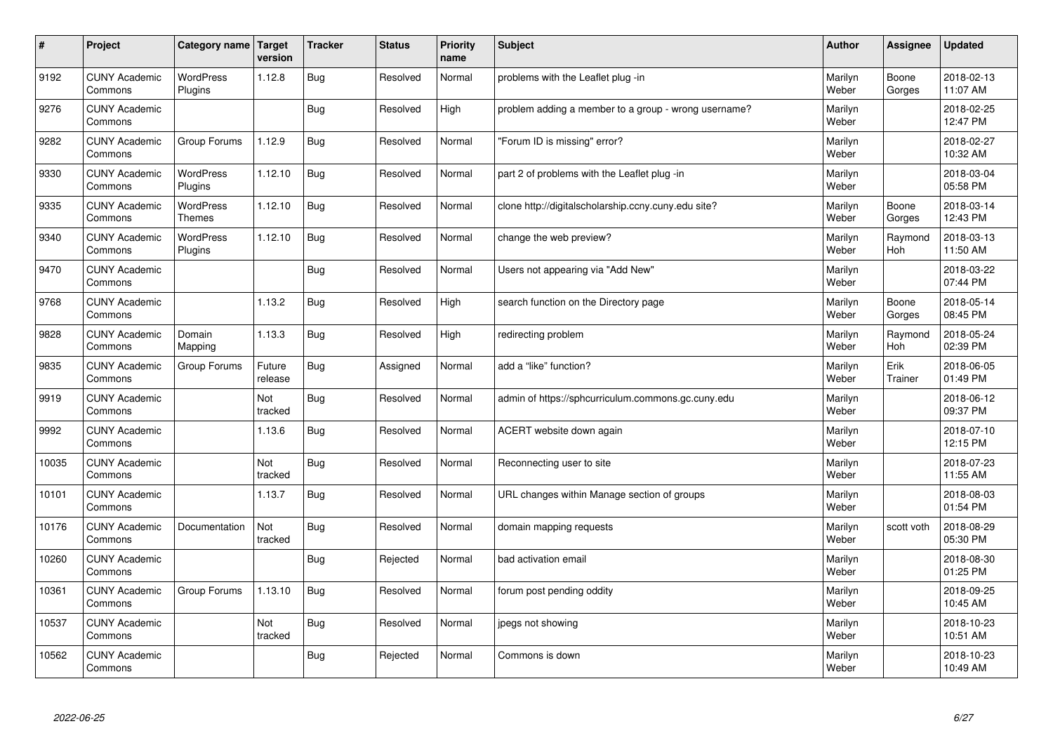| $\vert$ # | Project                         | Category name   Target            | version           | <b>Tracker</b> | <b>Status</b> | <b>Priority</b><br>name | <b>Subject</b>                                       | <b>Author</b>    | Assignee              | Updated                |
|-----------|---------------------------------|-----------------------------------|-------------------|----------------|---------------|-------------------------|------------------------------------------------------|------------------|-----------------------|------------------------|
| 9192      | <b>CUNY Academic</b><br>Commons | <b>WordPress</b><br>Plugins       | 1.12.8            | Bug            | Resolved      | Normal                  | problems with the Leaflet plug -in                   | Marilyn<br>Weber | Boone<br>Gorges       | 2018-02-13<br>11:07 AM |
| 9276      | <b>CUNY Academic</b><br>Commons |                                   |                   | Bug            | Resolved      | High                    | problem adding a member to a group - wrong username? | Marilyn<br>Weber |                       | 2018-02-25<br>12:47 PM |
| 9282      | <b>CUNY Academic</b><br>Commons | Group Forums                      | 1.12.9            | Bug            | Resolved      | Normal                  | 'Forum ID is missing" error?                         | Marilyn<br>Weber |                       | 2018-02-27<br>10:32 AM |
| 9330      | <b>CUNY Academic</b><br>Commons | <b>WordPress</b><br>Plugins       | 1.12.10           | Bug            | Resolved      | Normal                  | part 2 of problems with the Leaflet plug -in         | Marilyn<br>Weber |                       | 2018-03-04<br>05:58 PM |
| 9335      | <b>CUNY Academic</b><br>Commons | <b>WordPress</b><br><b>Themes</b> | 1.12.10           | Bug            | Resolved      | Normal                  | clone http://digitalscholarship.ccny.cuny.edu site?  | Marilyn<br>Weber | Boone<br>Gorges       | 2018-03-14<br>12:43 PM |
| 9340      | <b>CUNY Academic</b><br>Commons | WordPress<br>Plugins              | 1.12.10           | Bug            | Resolved      | Normal                  | change the web preview?                              | Marilyn<br>Weber | Raymond<br>Hoh        | 2018-03-13<br>11:50 AM |
| 9470      | <b>CUNY Academic</b><br>Commons |                                   |                   | Bug            | Resolved      | Normal                  | Users not appearing via "Add New"                    | Marilyn<br>Weber |                       | 2018-03-22<br>07:44 PM |
| 9768      | <b>CUNY Academic</b><br>Commons |                                   | 1.13.2            | Bug            | Resolved      | High                    | search function on the Directory page                | Marilyn<br>Weber | Boone<br>Gorges       | 2018-05-14<br>08:45 PM |
| 9828      | <b>CUNY Academic</b><br>Commons | Domain<br>Mapping                 | 1.13.3            | Bug            | Resolved      | High                    | redirecting problem                                  | Marilyn<br>Weber | Raymond<br><b>Hoh</b> | 2018-05-24<br>02:39 PM |
| 9835      | <b>CUNY Academic</b><br>Commons | Group Forums                      | Future<br>release | Bug            | Assigned      | Normal                  | add a "like" function?                               | Marilyn<br>Weber | Erik<br>Trainer       | 2018-06-05<br>01:49 PM |
| 9919      | <b>CUNY Academic</b><br>Commons |                                   | Not<br>tracked    | Bug            | Resolved      | Normal                  | admin of https://sphcurriculum.commons.gc.cuny.edu   | Marilyn<br>Weber |                       | 2018-06-12<br>09:37 PM |
| 9992      | <b>CUNY Academic</b><br>Commons |                                   | 1.13.6            | Bug            | Resolved      | Normal                  | ACERT website down again                             | Marilyn<br>Weber |                       | 2018-07-10<br>12:15 PM |
| 10035     | <b>CUNY Academic</b><br>Commons |                                   | Not<br>tracked    | Bug            | Resolved      | Normal                  | Reconnecting user to site                            | Marilyn<br>Weber |                       | 2018-07-23<br>11:55 AM |
| 10101     | <b>CUNY Academic</b><br>Commons |                                   | 1.13.7            | Bug            | Resolved      | Normal                  | URL changes within Manage section of groups          | Marilyn<br>Weber |                       | 2018-08-03<br>01:54 PM |
| 10176     | <b>CUNY Academic</b><br>Commons | Documentation                     | Not<br>tracked    | Bug            | Resolved      | Normal                  | domain mapping requests                              | Marilyn<br>Weber | scott voth            | 2018-08-29<br>05:30 PM |
| 10260     | <b>CUNY Academic</b><br>Commons |                                   |                   | Bug            | Rejected      | Normal                  | bad activation email                                 | Marilyn<br>Weber |                       | 2018-08-30<br>01:25 PM |
| 10361     | <b>CUNY Academic</b><br>Commons | Group Forums                      | 1.13.10           | Bug            | Resolved      | Normal                  | forum post pending oddity                            | Marilyn<br>Weber |                       | 2018-09-25<br>10:45 AM |
| 10537     | <b>CUNY Academic</b><br>Commons |                                   | Not<br>tracked    | Bug            | Resolved      | Normal                  | jpegs not showing                                    | Marilyn<br>Weber |                       | 2018-10-23<br>10:51 AM |
| 10562     | <b>CUNY Academic</b><br>Commons |                                   |                   | Bug            | Rejected      | Normal                  | Commons is down                                      | Marilyn<br>Weber |                       | 2018-10-23<br>10:49 AM |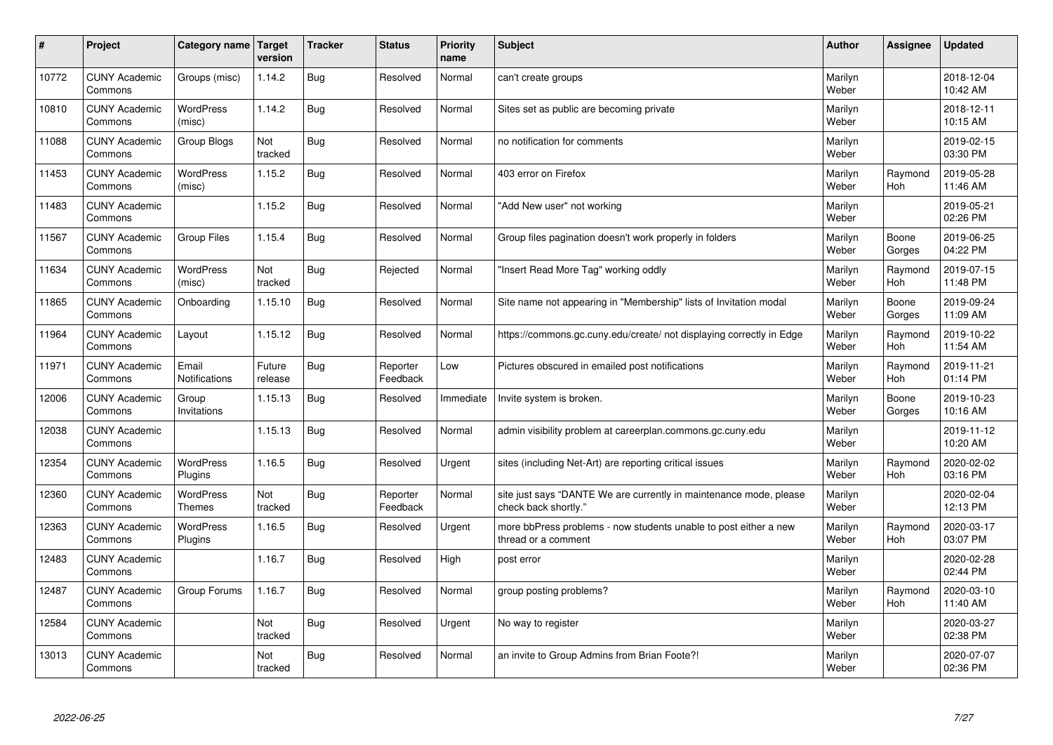| #     | Project                         | Category name                     | Target<br>version | <b>Tracker</b> | <b>Status</b>        | <b>Priority</b><br>name | <b>Subject</b>                                                                             | <b>Author</b>    | Assignee              | <b>Updated</b>         |
|-------|---------------------------------|-----------------------------------|-------------------|----------------|----------------------|-------------------------|--------------------------------------------------------------------------------------------|------------------|-----------------------|------------------------|
| 10772 | <b>CUNY Academic</b><br>Commons | Groups (misc)                     | 1.14.2            | Bug            | Resolved             | Normal                  | can't create groups                                                                        | Marilyn<br>Weber |                       | 2018-12-04<br>10:42 AM |
| 10810 | <b>CUNY Academic</b><br>Commons | <b>WordPress</b><br>(misc)        | 1.14.2            | Bug            | Resolved             | Normal                  | Sites set as public are becoming private                                                   | Marilyn<br>Weber |                       | 2018-12-11<br>10:15 AM |
| 11088 | <b>CUNY Academic</b><br>Commons | Group Blogs                       | Not<br>tracked    | Bug            | Resolved             | Normal                  | no notification for comments                                                               | Marilyn<br>Weber |                       | 2019-02-15<br>03:30 PM |
| 11453 | <b>CUNY Academic</b><br>Commons | <b>WordPress</b><br>(misc)        | 1.15.2            | Bug            | Resolved             | Normal                  | 403 error on Firefox                                                                       | Marilyn<br>Weber | Raymond<br><b>Hoh</b> | 2019-05-28<br>11:46 AM |
| 11483 | <b>CUNY Academic</b><br>Commons |                                   | 1.15.2            | Bug            | Resolved             | Normal                  | "Add New user" not working                                                                 | Marilyn<br>Weber |                       | 2019-05-21<br>02:26 PM |
| 11567 | <b>CUNY Academic</b><br>Commons | <b>Group Files</b>                | 1.15.4            | Bug            | Resolved             | Normal                  | Group files pagination doesn't work properly in folders                                    | Marilyn<br>Weber | Boone<br>Gorges       | 2019-06-25<br>04:22 PM |
| 11634 | <b>CUNY Academic</b><br>Commons | <b>WordPress</b><br>(misc)        | Not<br>tracked    | Bug            | Rejected             | Normal                  | 'Insert Read More Tag" working oddly                                                       | Marilyn<br>Weber | Raymond<br>Hoh        | 2019-07-15<br>11:48 PM |
| 11865 | <b>CUNY Academic</b><br>Commons | Onboarding                        | 1.15.10           | Bug            | Resolved             | Normal                  | Site name not appearing in "Membership" lists of Invitation modal                          | Marilyn<br>Weber | Boone<br>Gorges       | 2019-09-24<br>11:09 AM |
| 11964 | <b>CUNY Academic</b><br>Commons | Layout                            | 1.15.12           | Bug            | Resolved             | Normal                  | https://commons.gc.cuny.edu/create/ not displaying correctly in Edge                       | Marilyn<br>Weber | Raymond<br><b>Hoh</b> | 2019-10-22<br>11:54 AM |
| 11971 | <b>CUNY Academic</b><br>Commons | Email<br>Notifications            | Future<br>release | Bug            | Reporter<br>Feedback | Low                     | Pictures obscured in emailed post notifications                                            | Marilyn<br>Weber | Raymond<br><b>Hoh</b> | 2019-11-21<br>01:14 PM |
| 12006 | <b>CUNY Academic</b><br>Commons | Group<br>Invitations              | 1.15.13           | Bug            | Resolved             | Immediate               | Invite system is broken.                                                                   | Marilyn<br>Weber | Boone<br>Gorges       | 2019-10-23<br>10:16 AM |
| 12038 | <b>CUNY Academic</b><br>Commons |                                   | 1.15.13           | Bug            | Resolved             | Normal                  | admin visibility problem at careerplan.commons.gc.cuny.edu                                 | Marilyn<br>Weber |                       | 2019-11-12<br>10:20 AM |
| 12354 | <b>CUNY Academic</b><br>Commons | <b>WordPress</b><br>Plugins       | 1.16.5            | Bug            | Resolved             | Urgent                  | sites (including Net-Art) are reporting critical issues                                    | Marilyn<br>Weber | Raymond<br>Hoh        | 2020-02-02<br>03:16 PM |
| 12360 | <b>CUNY Academic</b><br>Commons | <b>WordPress</b><br><b>Themes</b> | Not<br>tracked    | Bug            | Reporter<br>Feedback | Normal                  | site just says "DANTE We are currently in maintenance mode, please<br>check back shortly." | Marilyn<br>Weber |                       | 2020-02-04<br>12:13 PM |
| 12363 | <b>CUNY Academic</b><br>Commons | <b>WordPress</b><br>Plugins       | 1.16.5            | Bug            | Resolved             | Urgent                  | more bbPress problems - now students unable to post either a new<br>thread or a comment    | Marilyn<br>Weber | Raymond<br><b>Hoh</b> | 2020-03-17<br>03:07 PM |
| 12483 | <b>CUNY Academic</b><br>Commons |                                   | 1.16.7            | Bug            | Resolved             | High                    | post error                                                                                 | Marilyn<br>Weber |                       | 2020-02-28<br>02:44 PM |
| 12487 | <b>CUNY Academic</b><br>Commons | Group Forums                      | 1.16.7            | Bug            | Resolved             | Normal                  | group posting problems?                                                                    | Marilyn<br>Weber | Raymond<br>Hoh        | 2020-03-10<br>11:40 AM |
| 12584 | <b>CUNY Academic</b><br>Commons |                                   | Not<br>tracked    | Bug            | Resolved             | Urgent                  | No way to register                                                                         | Marilyn<br>Weber |                       | 2020-03-27<br>02:38 PM |
| 13013 | <b>CUNY Academic</b><br>Commons |                                   | Not<br>tracked    | Bug            | Resolved             | Normal                  | an invite to Group Admins from Brian Foote?!                                               | Marilyn<br>Weber |                       | 2020-07-07<br>02:36 PM |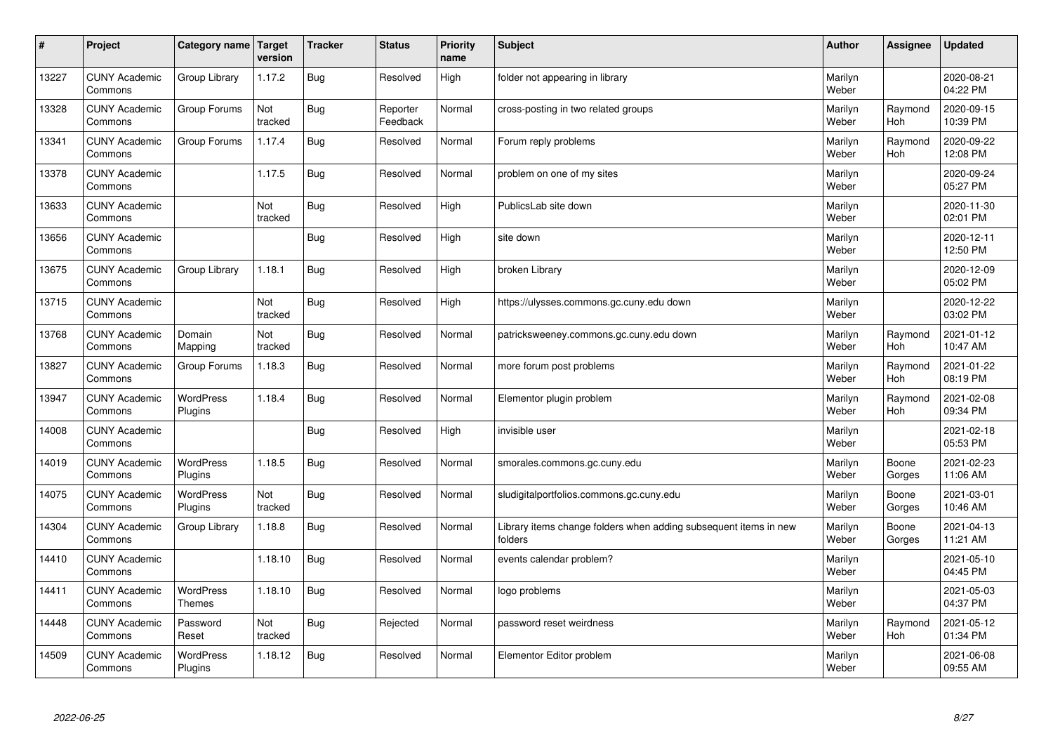| $\sharp$ | Project                         | Category name   Target      | version        | <b>Tracker</b> | <b>Status</b>        | <b>Priority</b><br>name | <b>Subject</b>                                                              | <b>Author</b>    | <b>Assignee</b>       | <b>Updated</b>         |
|----------|---------------------------------|-----------------------------|----------------|----------------|----------------------|-------------------------|-----------------------------------------------------------------------------|------------------|-----------------------|------------------------|
| 13227    | <b>CUNY Academic</b><br>Commons | Group Library               | 1.17.2         | Bug            | Resolved             | High                    | folder not appearing in library                                             | Marilyn<br>Weber |                       | 2020-08-21<br>04:22 PM |
| 13328    | <b>CUNY Academic</b><br>Commons | Group Forums                | Not<br>tracked | Bug            | Reporter<br>Feedback | Normal                  | cross-posting in two related groups                                         | Marilyn<br>Weber | Raymond<br><b>Hoh</b> | 2020-09-15<br>10:39 PM |
| 13341    | <b>CUNY Academic</b><br>Commons | Group Forums                | 1.17.4         | Bug            | Resolved             | Normal                  | Forum reply problems                                                        | Marilyn<br>Weber | Raymond<br>Hoh        | 2020-09-22<br>12:08 PM |
| 13378    | <b>CUNY Academic</b><br>Commons |                             | 1.17.5         | <b>Bug</b>     | Resolved             | Normal                  | problem on one of my sites                                                  | Marilyn<br>Weber |                       | 2020-09-24<br>05:27 PM |
| 13633    | <b>CUNY Academic</b><br>Commons |                             | Not<br>tracked | Bug            | Resolved             | High                    | PublicsLab site down                                                        | Marilyn<br>Weber |                       | 2020-11-30<br>02:01 PM |
| 13656    | <b>CUNY Academic</b><br>Commons |                             |                | Bug            | Resolved             | High                    | site down                                                                   | Marilyn<br>Weber |                       | 2020-12-11<br>12:50 PM |
| 13675    | <b>CUNY Academic</b><br>Commons | Group Library               | 1.18.1         | Bug            | Resolved             | High                    | broken Library                                                              | Marilyn<br>Weber |                       | 2020-12-09<br>05:02 PM |
| 13715    | <b>CUNY Academic</b><br>Commons |                             | Not<br>tracked | Bug            | Resolved             | High                    | https://ulysses.commons.gc.cuny.edu down                                    | Marilyn<br>Weber |                       | 2020-12-22<br>03:02 PM |
| 13768    | <b>CUNY Academic</b><br>Commons | Domain<br>Mapping           | Not<br>tracked | Bug            | Resolved             | Normal                  | patricksweeney.commons.gc.cuny.edu down                                     | Marilyn<br>Weber | Raymond<br>Hoh        | 2021-01-12<br>10:47 AM |
| 13827    | <b>CUNY Academic</b><br>Commons | Group Forums                | 1.18.3         | Bug            | Resolved             | Normal                  | more forum post problems                                                    | Marilyn<br>Weber | Raymond<br><b>Hoh</b> | 2021-01-22<br>08:19 PM |
| 13947    | <b>CUNY Academic</b><br>Commons | WordPress<br>Plugins        | 1.18.4         | Bug            | Resolved             | Normal                  | Elementor plugin problem                                                    | Marilyn<br>Weber | Raymond<br><b>Hoh</b> | 2021-02-08<br>09:34 PM |
| 14008    | <b>CUNY Academic</b><br>Commons |                             |                | Bug            | Resolved             | High                    | invisible user                                                              | Marilyn<br>Weber |                       | 2021-02-18<br>05:53 PM |
| 14019    | <b>CUNY Academic</b><br>Commons | <b>WordPress</b><br>Plugins | 1.18.5         | Bug            | Resolved             | Normal                  | smorales.commons.gc.cuny.edu                                                | Marilyn<br>Weber | Boone<br>Gorges       | 2021-02-23<br>11:06 AM |
| 14075    | <b>CUNY Academic</b><br>Commons | WordPress<br>Plugins        | Not<br>tracked | Bug            | Resolved             | Normal                  | sludigitalportfolios.commons.gc.cuny.edu                                    | Marilyn<br>Weber | Boone<br>Gorges       | 2021-03-01<br>10:46 AM |
| 14304    | <b>CUNY Academic</b><br>Commons | Group Library               | 1.18.8         | Bug            | Resolved             | Normal                  | Library items change folders when adding subsequent items in new<br>folders | Marilyn<br>Weber | Boone<br>Gorges       | 2021-04-13<br>11:21 AM |
| 14410    | <b>CUNY Academic</b><br>Commons |                             | 1.18.10        | <b>Bug</b>     | Resolved             | Normal                  | events calendar problem?                                                    | Marilyn<br>Weber |                       | 2021-05-10<br>04:45 PM |
| 14411    | <b>CUNY Academic</b><br>Commons | WordPress<br>Themes         | 1.18.10        | Bug            | Resolved             | Normal                  | logo problems                                                               | Marilyn<br>Weber |                       | 2021-05-03<br>04:37 PM |
| 14448    | <b>CUNY Academic</b><br>Commons | Password<br>Reset           | Not<br>tracked | Bug            | Rejected             | Normal                  | password reset weirdness                                                    | Marilyn<br>Weber | Raymond<br>Hoh        | 2021-05-12<br>01:34 PM |
| 14509    | <b>CUNY Academic</b><br>Commons | <b>WordPress</b><br>Plugins | 1.18.12        | Bug            | Resolved             | Normal                  | Elementor Editor problem                                                    | Marilyn<br>Weber |                       | 2021-06-08<br>09:55 AM |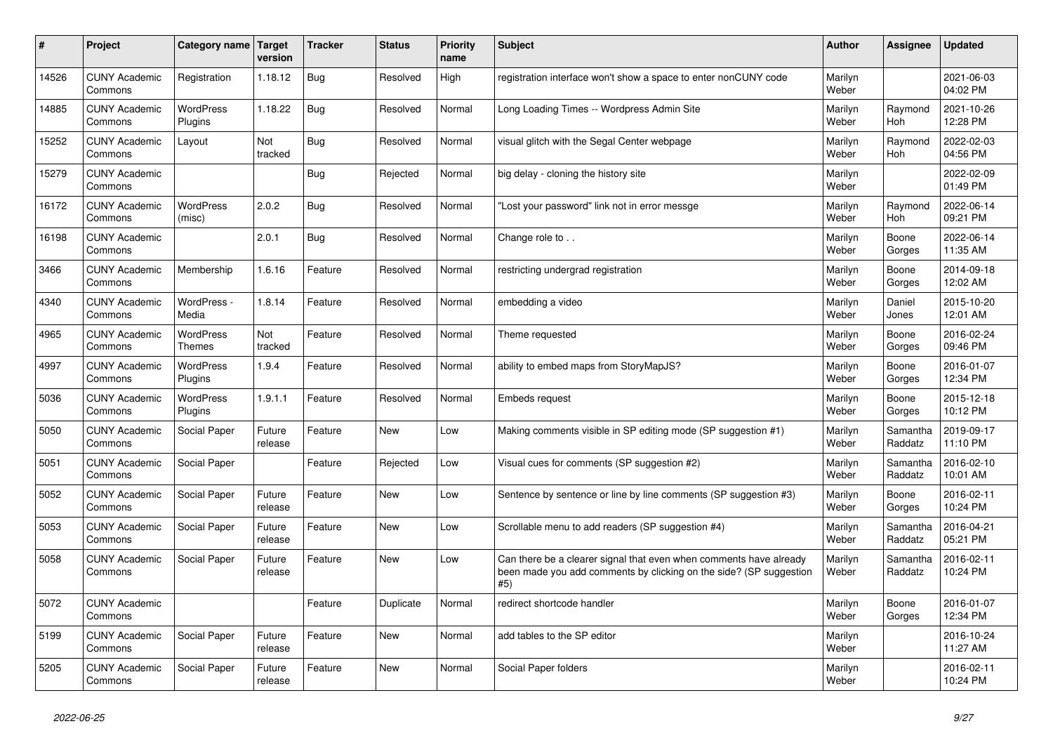| $\pmb{\sharp}$ | Project                         | Category name                     | <b>Target</b><br>version | <b>Tracker</b> | <b>Status</b> | <b>Priority</b><br>name | <b>Subject</b>                                                                                                                                  | <b>Author</b>    | Assignee              | <b>Updated</b>         |
|----------------|---------------------------------|-----------------------------------|--------------------------|----------------|---------------|-------------------------|-------------------------------------------------------------------------------------------------------------------------------------------------|------------------|-----------------------|------------------------|
| 14526          | <b>CUNY Academic</b><br>Commons | Registration                      | 1.18.12                  | <b>Bug</b>     | Resolved      | High                    | registration interface won't show a space to enter nonCUNY code                                                                                 | Marilyn<br>Weber |                       | 2021-06-03<br>04:02 PM |
| 14885          | <b>CUNY Academic</b><br>Commons | <b>WordPress</b><br>Plugins       | 1.18.22                  | Bug            | Resolved      | Normal                  | Long Loading Times -- Wordpress Admin Site                                                                                                      | Marilyn<br>Weber | Raymond<br>Hoh        | 2021-10-26<br>12:28 PM |
| 15252          | <b>CUNY Academic</b><br>Commons | Layout                            | Not<br>tracked           | <b>Bug</b>     | Resolved      | Normal                  | visual glitch with the Segal Center webpage                                                                                                     | Marilyn<br>Weber | Raymond<br><b>Hoh</b> | 2022-02-03<br>04:56 PM |
| 15279          | <b>CUNY Academic</b><br>Commons |                                   |                          | <b>Bug</b>     | Rejected      | Normal                  | big delay - cloning the history site                                                                                                            | Marilyn<br>Weber |                       | 2022-02-09<br>01:49 PM |
| 16172          | <b>CUNY Academic</b><br>Commons | <b>WordPress</b><br>(misc)        | 2.0.2                    | Bug            | Resolved      | Normal                  | Lost your password" link not in error messge                                                                                                    | Marilyn<br>Weber | Raymond<br>Hoh        | 2022-06-14<br>09:21 PM |
| 16198          | <b>CUNY Academic</b><br>Commons |                                   | 2.0.1                    | <b>Bug</b>     | Resolved      | Normal                  | Change role to                                                                                                                                  | Marilyn<br>Weber | Boone<br>Gorges       | 2022-06-14<br>11:35 AM |
| 3466           | <b>CUNY Academic</b><br>Commons | Membership                        | 1.6.16                   | Feature        | Resolved      | Normal                  | restricting undergrad registration                                                                                                              | Marilyn<br>Weber | Boone<br>Gorges       | 2014-09-18<br>12:02 AM |
| 4340           | <b>CUNY Academic</b><br>Commons | WordPress -<br>Media              | 1.8.14                   | Feature        | Resolved      | Normal                  | embedding a video                                                                                                                               | Marilyn<br>Weber | Daniel<br>Jones       | 2015-10-20<br>12:01 AM |
| 4965           | <b>CUNY Academic</b><br>Commons | <b>WordPress</b><br><b>Themes</b> | Not<br>tracked           | Feature        | Resolved      | Normal                  | Theme requested                                                                                                                                 | Marilyn<br>Weber | Boone<br>Gorges       | 2016-02-24<br>09:46 PM |
| 4997           | <b>CUNY Academic</b><br>Commons | <b>WordPress</b><br>Plugins       | 1.9.4                    | Feature        | Resolved      | Normal                  | ability to embed maps from StoryMapJS?                                                                                                          | Marilyn<br>Weber | Boone<br>Gorges       | 2016-01-07<br>12:34 PM |
| 5036           | <b>CUNY Academic</b><br>Commons | <b>WordPress</b><br>Plugins       | 1.9.1.1                  | Feature        | Resolved      | Normal                  | Embeds request                                                                                                                                  | Marilyn<br>Weber | Boone<br>Gorges       | 2015-12-18<br>10:12 PM |
| 5050           | <b>CUNY Academic</b><br>Commons | Social Paper                      | Future<br>release        | Feature        | <b>New</b>    | Low                     | Making comments visible in SP editing mode (SP suggestion #1)                                                                                   | Marilyn<br>Weber | Samantha<br>Raddatz   | 2019-09-17<br>11:10 PM |
| 5051           | <b>CUNY Academic</b><br>Commons | Social Paper                      |                          | Feature        | Rejected      | Low                     | Visual cues for comments (SP suggestion #2)                                                                                                     | Marilyn<br>Weber | Samantha<br>Raddatz   | 2016-02-10<br>10:01 AM |
| 5052           | <b>CUNY Academic</b><br>Commons | <b>Social Paper</b>               | Future<br>release        | Feature        | <b>New</b>    | Low                     | Sentence by sentence or line by line comments (SP suggestion #3)                                                                                | Marilyn<br>Weber | Boone<br>Gorges       | 2016-02-11<br>10:24 PM |
| 5053           | <b>CUNY Academic</b><br>Commons | Social Paper                      | Future<br>release        | Feature        | <b>New</b>    | Low                     | Scrollable menu to add readers (SP suggestion #4)                                                                                               | Marilyn<br>Weber | Samantha<br>Raddatz   | 2016-04-21<br>05:21 PM |
| 5058           | <b>CUNY Academic</b><br>Commons | Social Paper                      | Future<br>release        | Feature        | New           | Low                     | Can there be a clearer signal that even when comments have already<br>been made you add comments by clicking on the side? (SP suggestion<br>#5) | Marilyn<br>Weber | Samantha<br>Raddatz   | 2016-02-11<br>10:24 PM |
| 5072           | <b>CUNY Academic</b><br>Commons |                                   |                          | Feature        | Duplicate     | Normal                  | redirect shortcode handler                                                                                                                      | Marilyn<br>Weber | Boone<br>Gorges       | 2016-01-07<br>12:34 PM |
| 5199           | <b>CUNY Academic</b><br>Commons | Social Paper                      | Future<br>release        | Feature        | <b>New</b>    | Normal                  | add tables to the SP editor                                                                                                                     | Marilyn<br>Weber |                       | 2016-10-24<br>11:27 AM |
| 5205           | <b>CUNY Academic</b><br>Commons | Social Paper                      | Future<br>release        | Feature        | <b>New</b>    | Normal                  | Social Paper folders                                                                                                                            | Marilyn<br>Weber |                       | 2016-02-11<br>10:24 PM |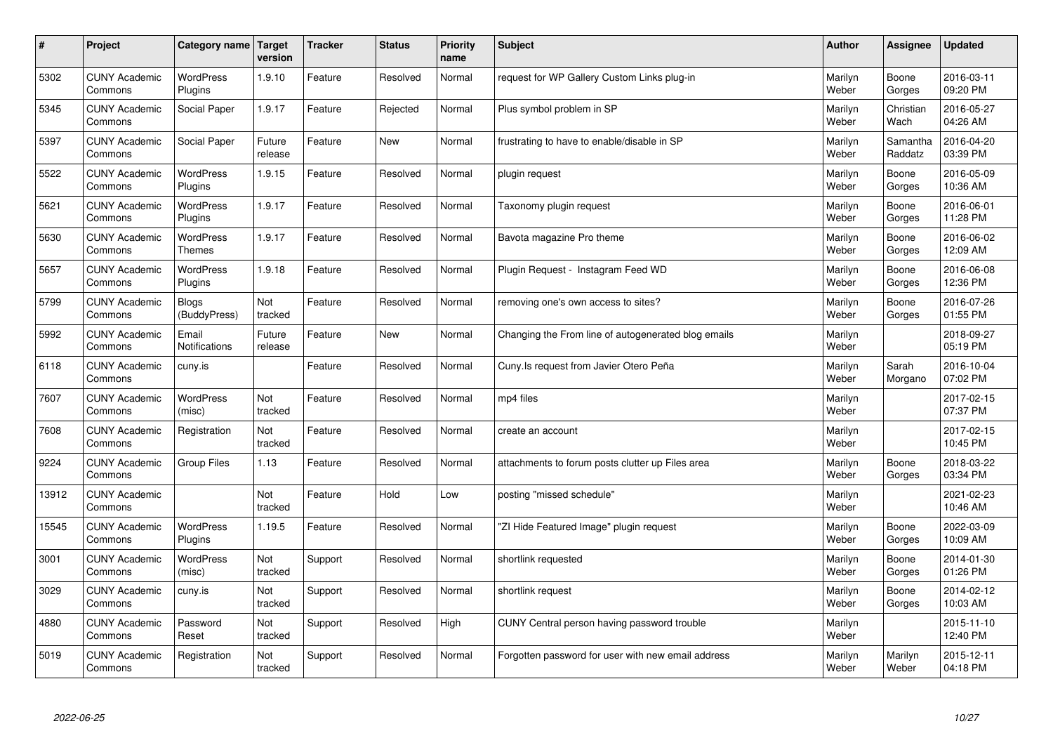| #     | Project                         | Category name                     | Target<br>version | <b>Tracker</b> | <b>Status</b> | <b>Priority</b><br>name | <b>Subject</b>                                      | <b>Author</b>    | <b>Assignee</b>     | <b>Updated</b>         |
|-------|---------------------------------|-----------------------------------|-------------------|----------------|---------------|-------------------------|-----------------------------------------------------|------------------|---------------------|------------------------|
| 5302  | <b>CUNY Academic</b><br>Commons | <b>WordPress</b><br>Plugins       | 1.9.10            | Feature        | Resolved      | Normal                  | request for WP Gallery Custom Links plug-in         | Marilyn<br>Weber | Boone<br>Gorges     | 2016-03-11<br>09:20 PM |
| 5345  | <b>CUNY Academic</b><br>Commons | Social Paper                      | 1.9.17            | Feature        | Rejected      | Normal                  | Plus symbol problem in SP                           | Marilyn<br>Weber | Christian<br>Wach   | 2016-05-27<br>04:26 AM |
| 5397  | <b>CUNY Academic</b><br>Commons | Social Paper                      | Future<br>release | Feature        | <b>New</b>    | Normal                  | frustrating to have to enable/disable in SP         | Marilyn<br>Weber | Samantha<br>Raddatz | 2016-04-20<br>03:39 PM |
| 5522  | <b>CUNY Academic</b><br>Commons | <b>WordPress</b><br>Plugins       | 1.9.15            | Feature        | Resolved      | Normal                  | plugin request                                      | Marilyn<br>Weber | Boone<br>Gorges     | 2016-05-09<br>10:36 AM |
| 5621  | <b>CUNY Academic</b><br>Commons | <b>WordPress</b><br>Plugins       | 1.9.17            | Feature        | Resolved      | Normal                  | Taxonomy plugin request                             | Marilyn<br>Weber | Boone<br>Gorges     | 2016-06-01<br>11:28 PM |
| 5630  | <b>CUNY Academic</b><br>Commons | <b>WordPress</b><br><b>Themes</b> | 1.9.17            | Feature        | Resolved      | Normal                  | Bavota magazine Pro theme                           | Marilyn<br>Weber | Boone<br>Gorges     | 2016-06-02<br>12:09 AM |
| 5657  | <b>CUNY Academic</b><br>Commons | WordPress<br>Plugins              | 1.9.18            | Feature        | Resolved      | Normal                  | Plugin Request - Instagram Feed WD                  | Marilyn<br>Weber | Boone<br>Gorges     | 2016-06-08<br>12:36 PM |
| 5799  | <b>CUNY Academic</b><br>Commons | Blogs<br>(BuddyPress)             | Not<br>tracked    | Feature        | Resolved      | Normal                  | removing one's own access to sites?                 | Marilyn<br>Weber | Boone<br>Gorges     | 2016-07-26<br>01:55 PM |
| 5992  | <b>CUNY Academic</b><br>Commons | Email<br>Notifications            | Future<br>release | Feature        | <b>New</b>    | Normal                  | Changing the From line of autogenerated blog emails | Marilyn<br>Weber |                     | 2018-09-27<br>05:19 PM |
| 6118  | <b>CUNY Academic</b><br>Commons | cuny.is                           |                   | Feature        | Resolved      | Normal                  | Cuny. Is request from Javier Otero Peña             | Marilyn<br>Weber | Sarah<br>Morgano    | 2016-10-04<br>07:02 PM |
| 7607  | <b>CUNY Academic</b><br>Commons | <b>WordPress</b><br>(misc)        | Not<br>tracked    | Feature        | Resolved      | Normal                  | mp4 files                                           | Marilyn<br>Weber |                     | 2017-02-15<br>07:37 PM |
| 7608  | <b>CUNY Academic</b><br>Commons | Registration                      | Not<br>tracked    | Feature        | Resolved      | Normal                  | create an account                                   | Marilyn<br>Weber |                     | 2017-02-15<br>10:45 PM |
| 9224  | <b>CUNY Academic</b><br>Commons | Group Files                       | 1.13              | Feature        | Resolved      | Normal                  | attachments to forum posts clutter up Files area    | Marilyn<br>Weber | Boone<br>Gorges     | 2018-03-22<br>03:34 PM |
| 13912 | <b>CUNY Academic</b><br>Commons |                                   | Not<br>tracked    | Feature        | Hold          | Low                     | posting "missed schedule"                           | Marilyn<br>Weber |                     | 2021-02-23<br>10:46 AM |
| 15545 | <b>CUNY Academic</b><br>Commons | WordPress<br>Plugins              | 1.19.5            | Feature        | Resolved      | Normal                  | 'ZI Hide Featured Image" plugin request             | Marilyn<br>Weber | Boone<br>Gorges     | 2022-03-09<br>10:09 AM |
| 3001  | <b>CUNY Academic</b><br>Commons | <b>WordPress</b><br>(misc)        | Not<br>tracked    | Support        | Resolved      | Normal                  | shortlink requested                                 | Marilyn<br>Weber | Boone<br>Gorges     | 2014-01-30<br>01:26 PM |
| 3029  | <b>CUNY Academic</b><br>Commons | cuny.is                           | Not<br>tracked    | Support        | Resolved      | Normal                  | shortlink request                                   | Marilyn<br>Weber | Boone<br>Gorges     | 2014-02-12<br>10:03 AM |
| 4880  | <b>CUNY Academic</b><br>Commons | Password<br>Reset                 | Not<br>tracked    | Support        | Resolved      | High                    | CUNY Central person having password trouble         | Marilyn<br>Weber |                     | 2015-11-10<br>12:40 PM |
| 5019  | <b>CUNY Academic</b><br>Commons | Registration                      | Not<br>tracked    | Support        | Resolved      | Normal                  | Forgotten password for user with new email address  | Marilyn<br>Weber | Marilyn<br>Weber    | 2015-12-11<br>04:18 PM |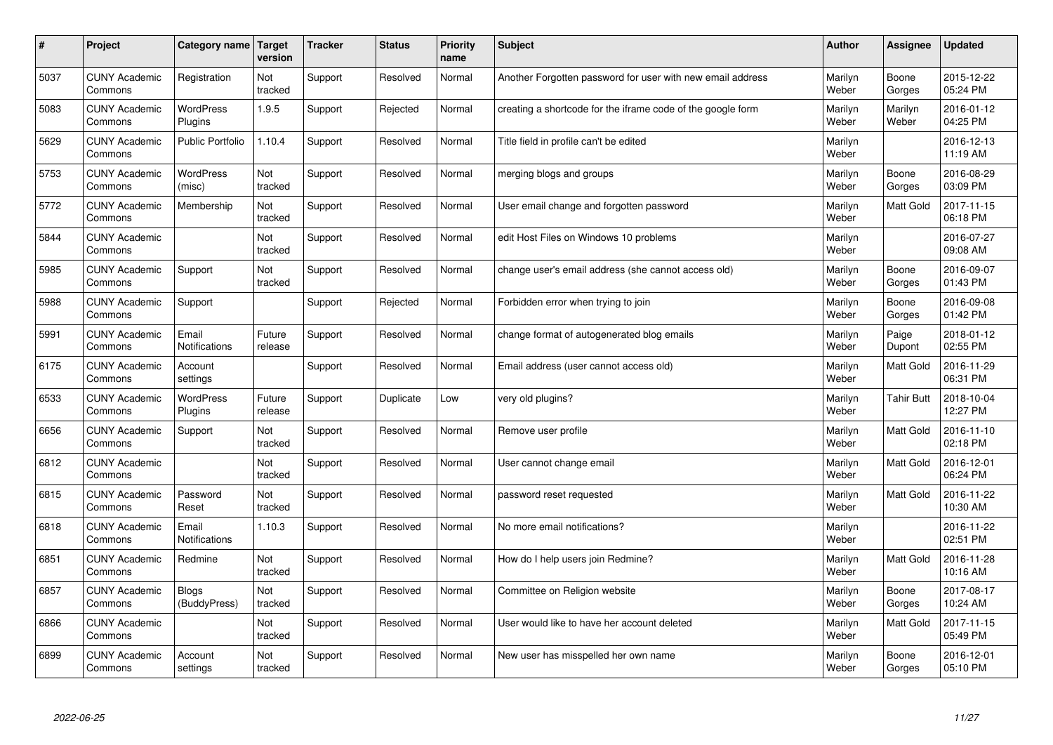| $\sharp$ | Project                         | Category name   Target       | version           | <b>Tracker</b> | <b>Status</b> | <b>Priority</b><br>name | <b>Subject</b>                                              | <b>Author</b>    | Assignee          | <b>Updated</b>         |
|----------|---------------------------------|------------------------------|-------------------|----------------|---------------|-------------------------|-------------------------------------------------------------|------------------|-------------------|------------------------|
| 5037     | <b>CUNY Academic</b><br>Commons | Registration                 | Not<br>tracked    | Support        | Resolved      | Normal                  | Another Forgotten password for user with new email address  | Marilyn<br>Weber | Boone<br>Gorges   | 2015-12-22<br>05:24 PM |
| 5083     | <b>CUNY Academic</b><br>Commons | <b>WordPress</b><br>Plugins  | 1.9.5             | Support        | Rejected      | Normal                  | creating a shortcode for the iframe code of the google form | Marilyn<br>Weber | Marilyn<br>Weber  | 2016-01-12<br>04:25 PM |
| 5629     | <b>CUNY Academic</b><br>Commons | <b>Public Portfolio</b>      | 1.10.4            | Support        | Resolved      | Normal                  | Title field in profile can't be edited                      | Marilyn<br>Weber |                   | 2016-12-13<br>11:19 AM |
| 5753     | <b>CUNY Academic</b><br>Commons | <b>WordPress</b><br>(misc)   | Not<br>tracked    | Support        | Resolved      | Normal                  | merging blogs and groups                                    | Marilyn<br>Weber | Boone<br>Gorges   | 2016-08-29<br>03:09 PM |
| 5772     | <b>CUNY Academic</b><br>Commons | Membership                   | Not<br>tracked    | Support        | Resolved      | Normal                  | User email change and forgotten password                    | Marilyn<br>Weber | <b>Matt Gold</b>  | 2017-11-15<br>06:18 PM |
| 5844     | <b>CUNY Academic</b><br>Commons |                              | Not<br>tracked    | Support        | Resolved      | Normal                  | edit Host Files on Windows 10 problems                      | Marilyn<br>Weber |                   | 2016-07-27<br>09:08 AM |
| 5985     | <b>CUNY Academic</b><br>Commons | Support                      | Not<br>tracked    | Support        | Resolved      | Normal                  | change user's email address (she cannot access old)         | Marilyn<br>Weber | Boone<br>Gorges   | 2016-09-07<br>01:43 PM |
| 5988     | <b>CUNY Academic</b><br>Commons | Support                      |                   | Support        | Rejected      | Normal                  | Forbidden error when trying to join                         | Marilyn<br>Weber | Boone<br>Gorges   | 2016-09-08<br>01:42 PM |
| 5991     | <b>CUNY Academic</b><br>Commons | Email<br>Notifications       | Future<br>release | Support        | Resolved      | Normal                  | change format of autogenerated blog emails                  | Marilyn<br>Weber | Paige<br>Dupont   | 2018-01-12<br>02:55 PM |
| 6175     | <b>CUNY Academic</b><br>Commons | Account<br>settings          |                   | Support        | Resolved      | Normal                  | Email address (user cannot access old)                      | Marilyn<br>Weber | <b>Matt Gold</b>  | 2016-11-29<br>06:31 PM |
| 6533     | <b>CUNY Academic</b><br>Commons | WordPress<br>Plugins         | Future<br>release | Support        | Duplicate     | Low                     | very old plugins?                                           | Marilyn<br>Weber | <b>Tahir Butt</b> | 2018-10-04<br>12:27 PM |
| 6656     | <b>CUNY Academic</b><br>Commons | Support                      | Not<br>tracked    | Support        | Resolved      | Normal                  | Remove user profile                                         | Marilyn<br>Weber | <b>Matt Gold</b>  | 2016-11-10<br>02:18 PM |
| 6812     | <b>CUNY Academic</b><br>Commons |                              | Not<br>tracked    | Support        | Resolved      | Normal                  | User cannot change email                                    | Marilyn<br>Weber | Matt Gold         | 2016-12-01<br>06:24 PM |
| 6815     | <b>CUNY Academic</b><br>Commons | Password<br>Reset            | Not<br>tracked    | Support        | Resolved      | Normal                  | password reset requested                                    | Marilyn<br>Weber | Matt Gold         | 2016-11-22<br>10:30 AM |
| 6818     | <b>CUNY Academic</b><br>Commons | Email<br>Notifications       | 1.10.3            | Support        | Resolved      | Normal                  | No more email notifications?                                | Marilyn<br>Weber |                   | 2016-11-22<br>02:51 PM |
| 6851     | <b>CUNY Academic</b><br>Commons | Redmine                      | Not<br>tracked    | Support        | Resolved      | Normal                  | How do I help users join Redmine?                           | Marilyn<br>Weber | <b>Matt Gold</b>  | 2016-11-28<br>10:16 AM |
| 6857     | <b>CUNY Academic</b><br>Commons | <b>Blogs</b><br>(BuddyPress) | Not<br>tracked    | Support        | Resolved      | Normal                  | Committee on Religion website                               | Marilyn<br>Weber | Boone<br>Gorges   | 2017-08-17<br>10:24 AM |
| 6866     | <b>CUNY Academic</b><br>Commons |                              | Not<br>tracked    | Support        | Resolved      | Normal                  | User would like to have her account deleted                 | Marilyn<br>Weber | <b>Matt Gold</b>  | 2017-11-15<br>05:49 PM |
| 6899     | <b>CUNY Academic</b><br>Commons | Account<br>settings          | Not<br>tracked    | Support        | Resolved      | Normal                  | New user has misspelled her own name                        | Marilyn<br>Weber | Boone<br>Gorges   | 2016-12-01<br>05:10 PM |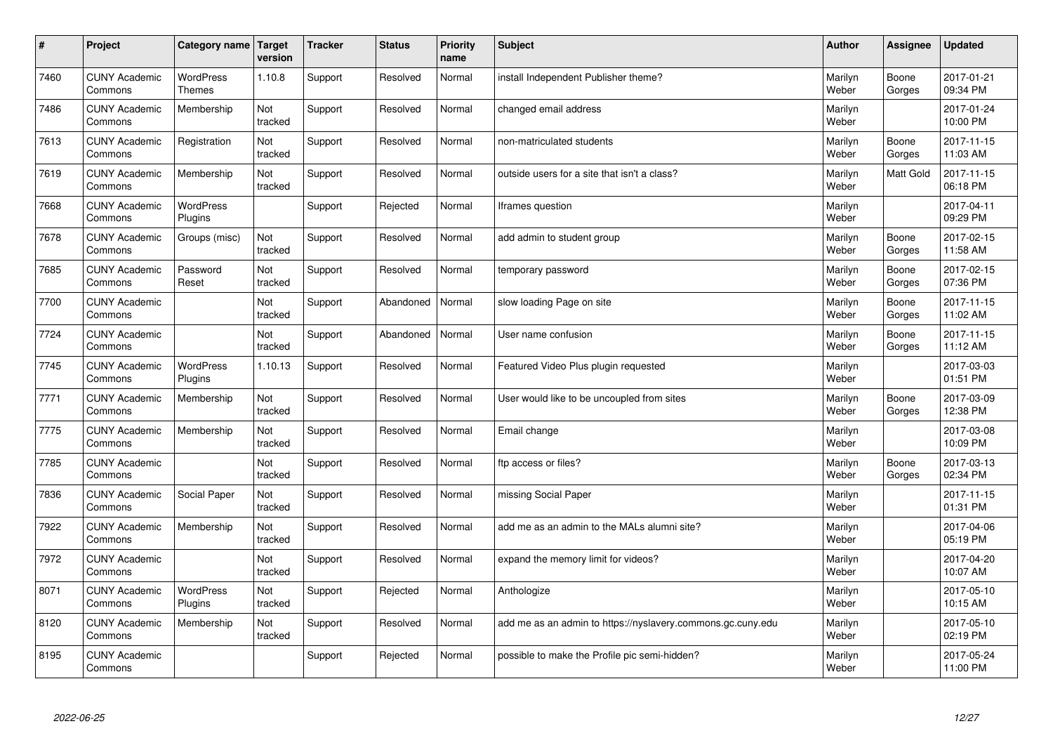| $\sharp$ | Project                         | Category name   Target      | version        | <b>Tracker</b> | <b>Status</b> | <b>Priority</b><br>name | <b>Subject</b>                                              | <b>Author</b>    | Assignee         | Updated                |
|----------|---------------------------------|-----------------------------|----------------|----------------|---------------|-------------------------|-------------------------------------------------------------|------------------|------------------|------------------------|
| 7460     | <b>CUNY Academic</b><br>Commons | <b>WordPress</b><br>Themes  | 1.10.8         | Support        | Resolved      | Normal                  | install Independent Publisher theme?                        | Marilyn<br>Weber | Boone<br>Gorges  | 2017-01-21<br>09:34 PM |
| 7486     | <b>CUNY Academic</b><br>Commons | Membership                  | Not<br>tracked | Support        | Resolved      | Normal                  | changed email address                                       | Marilyn<br>Weber |                  | 2017-01-24<br>10:00 PM |
| 7613     | <b>CUNY Academic</b><br>Commons | Registration                | Not<br>tracked | Support        | Resolved      | Normal                  | non-matriculated students                                   | Marilyn<br>Weber | Boone<br>Gorges  | 2017-11-15<br>11:03 AM |
| 7619     | <b>CUNY Academic</b><br>Commons | Membership                  | Not<br>tracked | Support        | Resolved      | Normal                  | outside users for a site that isn't a class?                | Marilyn<br>Weber | <b>Matt Gold</b> | 2017-11-15<br>06:18 PM |
| 7668     | <b>CUNY Academic</b><br>Commons | <b>WordPress</b><br>Plugins |                | Support        | Rejected      | Normal                  | Iframes question                                            | Marilyn<br>Weber |                  | 2017-04-11<br>09:29 PM |
| 7678     | <b>CUNY Academic</b><br>Commons | Groups (misc)               | Not<br>tracked | Support        | Resolved      | Normal                  | add admin to student group                                  | Marilyn<br>Weber | Boone<br>Gorges  | 2017-02-15<br>11:58 AM |
| 7685     | <b>CUNY Academic</b><br>Commons | Password<br>Reset           | Not<br>tracked | Support        | Resolved      | Normal                  | temporary password                                          | Marilyn<br>Weber | Boone<br>Gorges  | 2017-02-15<br>07:36 PM |
| 7700     | <b>CUNY Academic</b><br>Commons |                             | Not<br>tracked | Support        | Abandoned     | Normal                  | slow loading Page on site                                   | Marilyn<br>Weber | Boone<br>Gorges  | 2017-11-15<br>11:02 AM |
| 7724     | <b>CUNY Academic</b><br>Commons |                             | Not<br>tracked | Support        | Abandoned     | Normal                  | User name confusion                                         | Marilyn<br>Weber | Boone<br>Gorges  | 2017-11-15<br>11:12 AM |
| 7745     | <b>CUNY Academic</b><br>Commons | WordPress<br>Plugins        | 1.10.13        | Support        | Resolved      | Normal                  | Featured Video Plus plugin requested                        | Marilyn<br>Weber |                  | 2017-03-03<br>01:51 PM |
| 7771     | <b>CUNY Academic</b><br>Commons | Membership                  | Not<br>tracked | Support        | Resolved      | Normal                  | User would like to be uncoupled from sites                  | Marilyn<br>Weber | Boone<br>Gorges  | 2017-03-09<br>12:38 PM |
| 7775     | <b>CUNY Academic</b><br>Commons | Membership                  | Not<br>tracked | Support        | Resolved      | Normal                  | Email change                                                | Marilyn<br>Weber |                  | 2017-03-08<br>10:09 PM |
| 7785     | <b>CUNY Academic</b><br>Commons |                             | Not<br>tracked | Support        | Resolved      | Normal                  | ftp access or files?                                        | Marilyn<br>Weber | Boone<br>Gorges  | 2017-03-13<br>02:34 PM |
| 7836     | <b>CUNY Academic</b><br>Commons | Social Paper                | Not<br>tracked | Support        | Resolved      | Normal                  | missing Social Paper                                        | Marilyn<br>Weber |                  | 2017-11-15<br>01:31 PM |
| 7922     | <b>CUNY Academic</b><br>Commons | Membership                  | Not<br>tracked | Support        | Resolved      | Normal                  | add me as an admin to the MALs alumni site?                 | Marilyn<br>Weber |                  | 2017-04-06<br>05:19 PM |
| 7972     | <b>CUNY Academic</b><br>Commons |                             | Not<br>tracked | Support        | Resolved      | Normal                  | expand the memory limit for videos?                         | Marilyn<br>Weber |                  | 2017-04-20<br>10:07 AM |
| 8071     | <b>CUNY Academic</b><br>Commons | WordPress<br>Plugins        | Not<br>tracked | Support        | Rejected      | Normal                  | Anthologize                                                 | Marilyn<br>Weber |                  | 2017-05-10<br>10:15 AM |
| 8120     | <b>CUNY Academic</b><br>Commons | Membership                  | Not<br>tracked | Support        | Resolved      | Normal                  | add me as an admin to https://nyslavery.commons.gc.cuny.edu | Marilyn<br>Weber |                  | 2017-05-10<br>02:19 PM |
| 8195     | <b>CUNY Academic</b><br>Commons |                             |                | Support        | Rejected      | Normal                  | possible to make the Profile pic semi-hidden?               | Marilyn<br>Weber |                  | 2017-05-24<br>11:00 PM |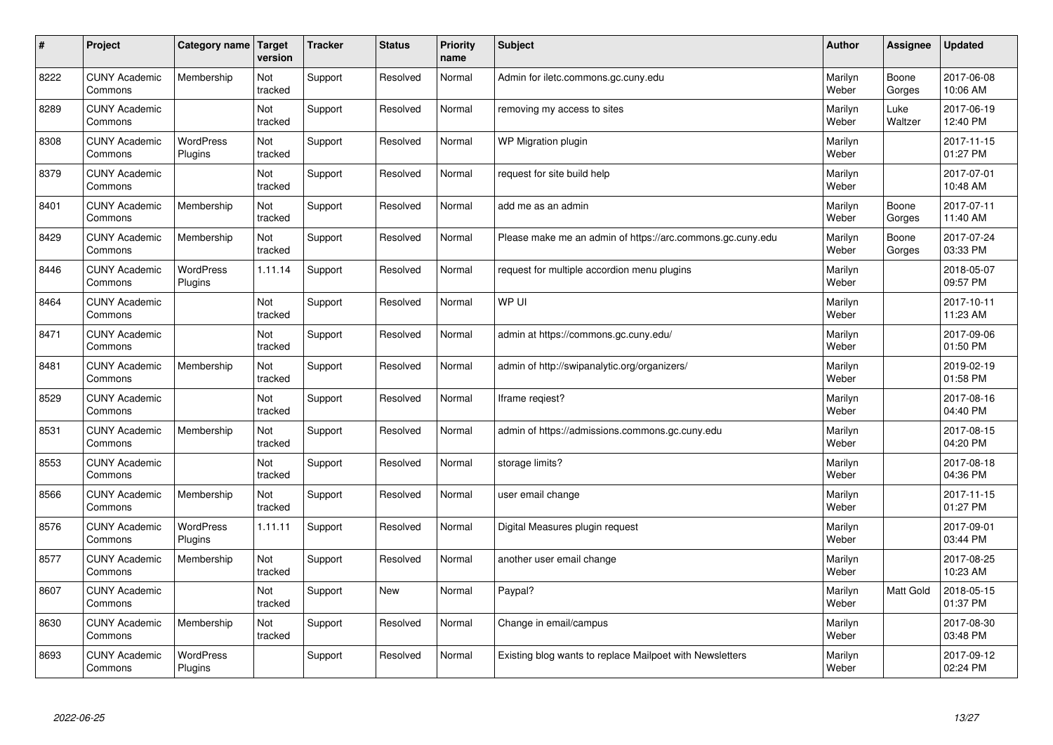| $\sharp$ | Project                         | Category name   Target      | version        | <b>Tracker</b> | <b>Status</b> | <b>Priority</b><br>name | <b>Subject</b>                                             | <b>Author</b>    | Assignee        | Updated                |
|----------|---------------------------------|-----------------------------|----------------|----------------|---------------|-------------------------|------------------------------------------------------------|------------------|-----------------|------------------------|
| 8222     | <b>CUNY Academic</b><br>Commons | Membership                  | Not<br>tracked | Support        | Resolved      | Normal                  | Admin for iletc.commons.gc.cuny.edu                        | Marilyn<br>Weber | Boone<br>Gorges | 2017-06-08<br>10:06 AM |
| 8289     | <b>CUNY Academic</b><br>Commons |                             | Not<br>tracked | Support        | Resolved      | Normal                  | removing my access to sites                                | Marilyn<br>Weber | Luke<br>Waltzer | 2017-06-19<br>12:40 PM |
| 8308     | <b>CUNY Academic</b><br>Commons | <b>WordPress</b><br>Plugins | Not<br>tracked | Support        | Resolved      | Normal                  | WP Migration plugin                                        | Marilyn<br>Weber |                 | 2017-11-15<br>01:27 PM |
| 8379     | <b>CUNY Academic</b><br>Commons |                             | Not<br>tracked | Support        | Resolved      | Normal                  | request for site build help                                | Marilyn<br>Weber |                 | 2017-07-01<br>10:48 AM |
| 8401     | <b>CUNY Academic</b><br>Commons | Membership                  | Not<br>tracked | Support        | Resolved      | Normal                  | add me as an admin                                         | Marilyn<br>Weber | Boone<br>Gorges | 2017-07-11<br>11:40 AM |
| 8429     | <b>CUNY Academic</b><br>Commons | Membership                  | Not<br>tracked | Support        | Resolved      | Normal                  | Please make me an admin of https://arc.commons.gc.cuny.edu | Marilyn<br>Weber | Boone<br>Gorges | 2017-07-24<br>03:33 PM |
| 8446     | <b>CUNY Academic</b><br>Commons | WordPress<br>Plugins        | 1.11.14        | Support        | Resolved      | Normal                  | request for multiple accordion menu plugins                | Marilyn<br>Weber |                 | 2018-05-07<br>09:57 PM |
| 8464     | <b>CUNY Academic</b><br>Commons |                             | Not<br>tracked | Support        | Resolved      | Normal                  | WP UI                                                      | Marilyn<br>Weber |                 | 2017-10-11<br>11:23 AM |
| 8471     | <b>CUNY Academic</b><br>Commons |                             | Not<br>tracked | Support        | Resolved      | Normal                  | admin at https://commons.gc.cuny.edu/                      | Marilyn<br>Weber |                 | 2017-09-06<br>01:50 PM |
| 8481     | <b>CUNY Academic</b><br>Commons | Membership                  | Not<br>tracked | Support        | Resolved      | Normal                  | admin of http://swipanalytic.org/organizers/               | Marilyn<br>Weber |                 | 2019-02-19<br>01:58 PM |
| 8529     | <b>CUNY Academic</b><br>Commons |                             | Not<br>tracked | Support        | Resolved      | Normal                  | Iframe regiest?                                            | Marilyn<br>Weber |                 | 2017-08-16<br>04:40 PM |
| 8531     | <b>CUNY Academic</b><br>Commons | Membership                  | Not<br>tracked | Support        | Resolved      | Normal                  | admin of https://admissions.commons.gc.cuny.edu            | Marilyn<br>Weber |                 | 2017-08-15<br>04:20 PM |
| 8553     | <b>CUNY Academic</b><br>Commons |                             | Not<br>tracked | Support        | Resolved      | Normal                  | storage limits?                                            | Marilyn<br>Weber |                 | 2017-08-18<br>04:36 PM |
| 8566     | <b>CUNY Academic</b><br>Commons | Membership                  | Not<br>tracked | Support        | Resolved      | Normal                  | user email change                                          | Marilyn<br>Weber |                 | 2017-11-15<br>01:27 PM |
| 8576     | <b>CUNY Academic</b><br>Commons | <b>WordPress</b><br>Plugins | 1.11.11        | Support        | Resolved      | Normal                  | Digital Measures plugin request                            | Marilyn<br>Weber |                 | 2017-09-01<br>03:44 PM |
| 8577     | <b>CUNY Academic</b><br>Commons | Membership                  | Not<br>tracked | Support        | Resolved      | Normal                  | another user email change                                  | Marilyn<br>Weber |                 | 2017-08-25<br>10:23 AM |
| 8607     | <b>CUNY Academic</b><br>Commons |                             | Not<br>tracked | Support        | <b>New</b>    | Normal                  | Paypal?                                                    | Marilyn<br>Weber | Matt Gold       | 2018-05-15<br>01:37 PM |
| 8630     | <b>CUNY Academic</b><br>Commons | Membership                  | Not<br>tracked | Support        | Resolved      | Normal                  | Change in email/campus                                     | Marilyn<br>Weber |                 | 2017-08-30<br>03:48 PM |
| 8693     | <b>CUNY Academic</b><br>Commons | <b>WordPress</b><br>Plugins |                | Support        | Resolved      | Normal                  | Existing blog wants to replace Mailpoet with Newsletters   | Marilyn<br>Weber |                 | 2017-09-12<br>02:24 PM |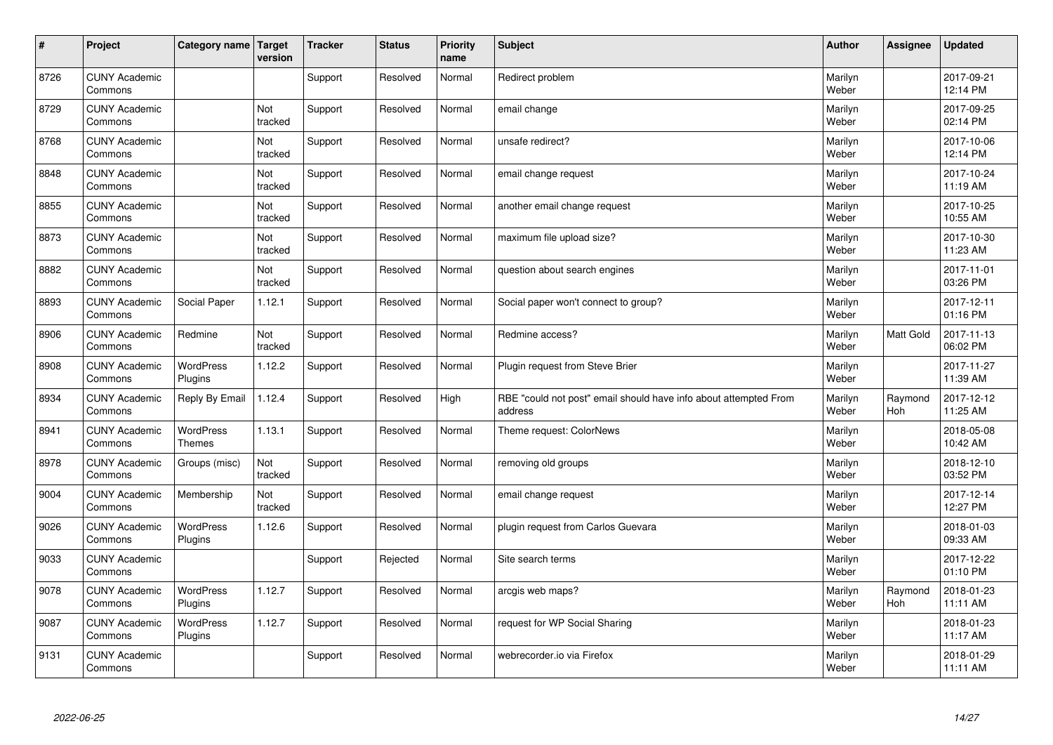| $\vert$ # | Project                         | Category name   Target     | version        | <b>Tracker</b> | <b>Status</b> | <b>Priority</b><br>name | <b>Subject</b>                                                              | <b>Author</b>    | Assignee              | <b>Updated</b>         |
|-----------|---------------------------------|----------------------------|----------------|----------------|---------------|-------------------------|-----------------------------------------------------------------------------|------------------|-----------------------|------------------------|
| 8726      | <b>CUNY Academic</b><br>Commons |                            |                | Support        | Resolved      | Normal                  | Redirect problem                                                            | Marilyn<br>Weber |                       | 2017-09-21<br>12:14 PM |
| 8729      | <b>CUNY Academic</b><br>Commons |                            | Not<br>tracked | Support        | Resolved      | Normal                  | email change                                                                | Marilyn<br>Weber |                       | 2017-09-25<br>02:14 PM |
| 8768      | <b>CUNY Academic</b><br>Commons |                            | Not<br>tracked | Support        | Resolved      | Normal                  | unsafe redirect?                                                            | Marilyn<br>Weber |                       | 2017-10-06<br>12:14 PM |
| 8848      | <b>CUNY Academic</b><br>Commons |                            | Not<br>tracked | Support        | Resolved      | Normal                  | email change request                                                        | Marilyn<br>Weber |                       | 2017-10-24<br>11:19 AM |
| 8855      | <b>CUNY Academic</b><br>Commons |                            | Not<br>tracked | Support        | Resolved      | Normal                  | another email change request                                                | Marilyn<br>Weber |                       | 2017-10-25<br>10:55 AM |
| 8873      | <b>CUNY Academic</b><br>Commons |                            | Not<br>tracked | Support        | Resolved      | Normal                  | maximum file upload size?                                                   | Marilyn<br>Weber |                       | 2017-10-30<br>11:23 AM |
| 8882      | <b>CUNY Academic</b><br>Commons |                            | Not<br>tracked | Support        | Resolved      | Normal                  | question about search engines                                               | Marilyn<br>Weber |                       | 2017-11-01<br>03:26 PM |
| 8893      | <b>CUNY Academic</b><br>Commons | Social Paper               | 1.12.1         | Support        | Resolved      | Normal                  | Social paper won't connect to group?                                        | Marilyn<br>Weber |                       | 2017-12-11<br>01:16 PM |
| 8906      | <b>CUNY Academic</b><br>Commons | Redmine                    | Not<br>tracked | Support        | Resolved      | Normal                  | Redmine access?                                                             | Marilyn<br>Weber | Matt Gold             | 2017-11-13<br>06:02 PM |
| 8908      | <b>CUNY Academic</b><br>Commons | WordPress<br>Plugins       | 1.12.2         | Support        | Resolved      | Normal                  | Plugin request from Steve Brier                                             | Marilyn<br>Weber |                       | 2017-11-27<br>11:39 AM |
| 8934      | <b>CUNY Academic</b><br>Commons | Reply By Email             | 1.12.4         | Support        | Resolved      | High                    | RBE "could not post" email should have info about attempted From<br>address | Marilyn<br>Weber | Raymond<br><b>Hoh</b> | 2017-12-12<br>11:25 AM |
| 8941      | <b>CUNY Academic</b><br>Commons | WordPress<br><b>Themes</b> | 1.13.1         | Support        | Resolved      | Normal                  | Theme request: ColorNews                                                    | Marilyn<br>Weber |                       | 2018-05-08<br>10:42 AM |
| 8978      | <b>CUNY Academic</b><br>Commons | Groups (misc)              | Not<br>tracked | Support        | Resolved      | Normal                  | removing old groups                                                         | Marilyn<br>Weber |                       | 2018-12-10<br>03:52 PM |
| 9004      | <b>CUNY Academic</b><br>Commons | Membership                 | Not<br>tracked | Support        | Resolved      | Normal                  | email change request                                                        | Marilyn<br>Weber |                       | 2017-12-14<br>12:27 PM |
| 9026      | <b>CUNY Academic</b><br>Commons | WordPress<br>Plugins       | 1.12.6         | Support        | Resolved      | Normal                  | plugin request from Carlos Guevara                                          | Marilyn<br>Weber |                       | 2018-01-03<br>09:33 AM |
| 9033      | <b>CUNY Academic</b><br>Commons |                            |                | Support        | Rejected      | Normal                  | Site search terms                                                           | Marilyn<br>Weber |                       | 2017-12-22<br>01:10 PM |
| 9078      | <b>CUNY Academic</b><br>Commons | WordPress<br>Plugins       | 1.12.7         | Support        | Resolved      | Normal                  | arcgis web maps?                                                            | Marilyn<br>Weber | Raymond<br>Hoh        | 2018-01-23<br>11:11 AM |
| 9087      | <b>CUNY Academic</b><br>Commons | WordPress<br>Plugins       | 1.12.7         | Support        | Resolved      | Normal                  | request for WP Social Sharing                                               | Marilyn<br>Weber |                       | 2018-01-23<br>11:17 AM |
| 9131      | <b>CUNY Academic</b><br>Commons |                            |                | Support        | Resolved      | Normal                  | webrecorder.io via Firefox                                                  | Marilyn<br>Weber |                       | 2018-01-29<br>11:11 AM |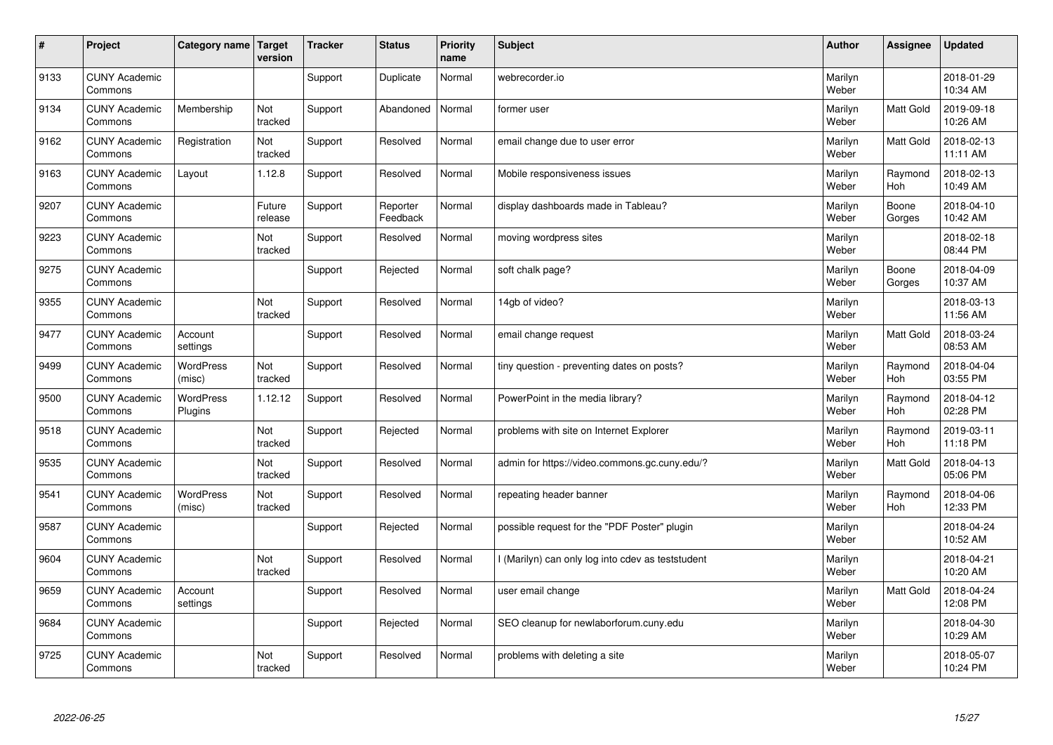| $\sharp$ | Project                         | Category name   Target      | version           | <b>Tracker</b> | <b>Status</b>        | <b>Priority</b><br>name | <b>Subject</b>                                    | <b>Author</b>    | <b>Assignee</b>       | <b>Updated</b>         |
|----------|---------------------------------|-----------------------------|-------------------|----------------|----------------------|-------------------------|---------------------------------------------------|------------------|-----------------------|------------------------|
| 9133     | <b>CUNY Academic</b><br>Commons |                             |                   | Support        | Duplicate            | Normal                  | webrecorder.jo                                    | Marilyn<br>Weber |                       | 2018-01-29<br>10:34 AM |
| 9134     | <b>CUNY Academic</b><br>Commons | Membership                  | Not<br>tracked    | Support        | Abandoned            | Normal                  | former user                                       | Marilyn<br>Weber | <b>Matt Gold</b>      | 2019-09-18<br>10:26 AM |
| 9162     | <b>CUNY Academic</b><br>Commons | Registration                | Not<br>tracked    | Support        | Resolved             | Normal                  | email change due to user error                    | Marilyn<br>Weber | Matt Gold             | 2018-02-13<br>11:11 AM |
| 9163     | <b>CUNY Academic</b><br>Commons | Layout                      | 1.12.8            | Support        | Resolved             | Normal                  | Mobile responsiveness issues                      | Marilyn<br>Weber | Raymond<br>Hoh        | 2018-02-13<br>10:49 AM |
| 9207     | <b>CUNY Academic</b><br>Commons |                             | Future<br>release | Support        | Reporter<br>Feedback | Normal                  | display dashboards made in Tableau?               | Marilyn<br>Weber | Boone<br>Gorges       | 2018-04-10<br>10:42 AM |
| 9223     | <b>CUNY Academic</b><br>Commons |                             | Not<br>tracked    | Support        | Resolved             | Normal                  | moving wordpress sites                            | Marilyn<br>Weber |                       | 2018-02-18<br>08:44 PM |
| 9275     | <b>CUNY Academic</b><br>Commons |                             |                   | Support        | Rejected             | Normal                  | soft chalk page?                                  | Marilyn<br>Weber | Boone<br>Gorges       | 2018-04-09<br>10:37 AM |
| 9355     | <b>CUNY Academic</b><br>Commons |                             | Not<br>tracked    | Support        | Resolved             | Normal                  | 14gb of video?                                    | Marilyn<br>Weber |                       | 2018-03-13<br>11:56 AM |
| 9477     | <b>CUNY Academic</b><br>Commons | Account<br>settings         |                   | Support        | Resolved             | Normal                  | email change request                              | Marilyn<br>Weber | <b>Matt Gold</b>      | 2018-03-24<br>08:53 AM |
| 9499     | <b>CUNY Academic</b><br>Commons | <b>WordPress</b><br>(misc)  | Not<br>tracked    | Support        | Resolved             | Normal                  | tiny question - preventing dates on posts?        | Marilyn<br>Weber | Raymond<br><b>Hoh</b> | 2018-04-04<br>03:55 PM |
| 9500     | <b>CUNY Academic</b><br>Commons | <b>WordPress</b><br>Plugins | 1.12.12           | Support        | Resolved             | Normal                  | PowerPoint in the media library?                  | Marilyn<br>Weber | Raymond<br><b>Hoh</b> | 2018-04-12<br>02:28 PM |
| 9518     | <b>CUNY Academic</b><br>Commons |                             | Not<br>tracked    | Support        | Rejected             | Normal                  | problems with site on Internet Explorer           | Marilyn<br>Weber | Raymond<br>Hoh        | 2019-03-11<br>11:18 PM |
| 9535     | <b>CUNY Academic</b><br>Commons |                             | Not<br>tracked    | Support        | Resolved             | Normal                  | admin for https://video.commons.gc.cuny.edu/?     | Marilyn<br>Weber | <b>Matt Gold</b>      | 2018-04-13<br>05:06 PM |
| 9541     | <b>CUNY Academic</b><br>Commons | <b>WordPress</b><br>(misc)  | Not<br>tracked    | Support        | Resolved             | Normal                  | repeating header banner                           | Marilyn<br>Weber | Raymond<br><b>Hoh</b> | 2018-04-06<br>12:33 PM |
| 9587     | <b>CUNY Academic</b><br>Commons |                             |                   | Support        | Rejected             | Normal                  | possible request for the "PDF Poster" plugin      | Marilyn<br>Weber |                       | 2018-04-24<br>10:52 AM |
| 9604     | <b>CUNY Academic</b><br>Commons |                             | Not<br>tracked    | Support        | Resolved             | Normal                  | I (Marilyn) can only log into cdev as teststudent | Marilyn<br>Weber |                       | 2018-04-21<br>10:20 AM |
| 9659     | <b>CUNY Academic</b><br>Commons | Account<br>settings         |                   | Support        | Resolved             | Normal                  | user email change                                 | Marilyn<br>Weber | <b>Matt Gold</b>      | 2018-04-24<br>12:08 PM |
| 9684     | <b>CUNY Academic</b><br>Commons |                             |                   | Support        | Rejected             | Normal                  | SEO cleanup for newlaborforum.cuny.edu            | Marilyn<br>Weber |                       | 2018-04-30<br>10:29 AM |
| 9725     | <b>CUNY Academic</b><br>Commons |                             | Not<br>tracked    | Support        | Resolved             | Normal                  | problems with deleting a site                     | Marilyn<br>Weber |                       | 2018-05-07<br>10:24 PM |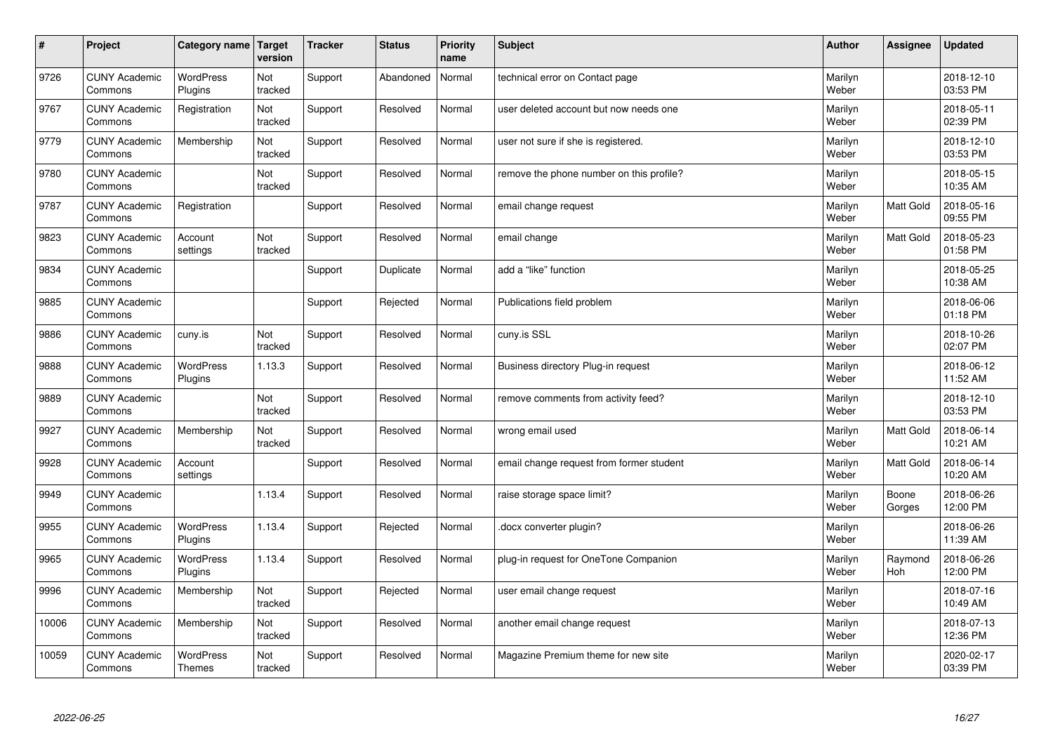| $\sharp$ | Project                         | Category name   Target            | version        | <b>Tracker</b> | <b>Status</b> | <b>Priority</b><br>name | <b>Subject</b>                           | <b>Author</b>    | Assignee              | Updated                |
|----------|---------------------------------|-----------------------------------|----------------|----------------|---------------|-------------------------|------------------------------------------|------------------|-----------------------|------------------------|
| 9726     | <b>CUNY Academic</b><br>Commons | <b>WordPress</b><br>Plugins       | Not<br>tracked | Support        | Abandoned     | Normal                  | technical error on Contact page          | Marilyn<br>Weber |                       | 2018-12-10<br>03:53 PM |
| 9767     | <b>CUNY Academic</b><br>Commons | Registration                      | Not<br>tracked | Support        | Resolved      | Normal                  | user deleted account but now needs one   | Marilyn<br>Weber |                       | 2018-05-11<br>02:39 PM |
| 9779     | <b>CUNY Academic</b><br>Commons | Membership                        | Not<br>tracked | Support        | Resolved      | Normal                  | user not sure if she is registered.      | Marilyn<br>Weber |                       | 2018-12-10<br>03:53 PM |
| 9780     | <b>CUNY Academic</b><br>Commons |                                   | Not<br>tracked | Support        | Resolved      | Normal                  | remove the phone number on this profile? | Marilyn<br>Weber |                       | 2018-05-15<br>10:35 AM |
| 9787     | <b>CUNY Academic</b><br>Commons | Registration                      |                | Support        | Resolved      | Normal                  | email change request                     | Marilyn<br>Weber | Matt Gold             | 2018-05-16<br>09:55 PM |
| 9823     | <b>CUNY Academic</b><br>Commons | Account<br>settings               | Not<br>tracked | Support        | Resolved      | Normal                  | email change                             | Marilyn<br>Weber | Matt Gold             | 2018-05-23<br>01:58 PM |
| 9834     | <b>CUNY Academic</b><br>Commons |                                   |                | Support        | Duplicate     | Normal                  | add a "like" function                    | Marilyn<br>Weber |                       | 2018-05-25<br>10:38 AM |
| 9885     | <b>CUNY Academic</b><br>Commons |                                   |                | Support        | Rejected      | Normal                  | Publications field problem               | Marilyn<br>Weber |                       | 2018-06-06<br>01:18 PM |
| 9886     | <b>CUNY Academic</b><br>Commons | cuny.is                           | Not<br>tracked | Support        | Resolved      | Normal                  | cuny.is SSL                              | Marilyn<br>Weber |                       | 2018-10-26<br>02:07 PM |
| 9888     | <b>CUNY Academic</b><br>Commons | WordPress<br>Plugins              | 1.13.3         | Support        | Resolved      | Normal                  | Business directory Plug-in request       | Marilyn<br>Weber |                       | 2018-06-12<br>11:52 AM |
| 9889     | <b>CUNY Academic</b><br>Commons |                                   | Not<br>tracked | Support        | Resolved      | Normal                  | remove comments from activity feed?      | Marilyn<br>Weber |                       | 2018-12-10<br>03:53 PM |
| 9927     | <b>CUNY Academic</b><br>Commons | Membership                        | Not<br>tracked | Support        | Resolved      | Normal                  | wrong email used                         | Marilyn<br>Weber | <b>Matt Gold</b>      | 2018-06-14<br>10:21 AM |
| 9928     | <b>CUNY Academic</b><br>Commons | Account<br>settings               |                | Support        | Resolved      | Normal                  | email change request from former student | Marilyn<br>Weber | Matt Gold             | 2018-06-14<br>10:20 AM |
| 9949     | <b>CUNY Academic</b><br>Commons |                                   | 1.13.4         | Support        | Resolved      | Normal                  | raise storage space limit?               | Marilyn<br>Weber | Boone<br>Gorges       | 2018-06-26<br>12:00 PM |
| 9955     | <b>CUNY Academic</b><br>Commons | <b>WordPress</b><br>Plugins       | 1.13.4         | Support        | Rejected      | Normal                  | docx converter plugin?                   | Marilyn<br>Weber |                       | 2018-06-26<br>11:39 AM |
| 9965     | <b>CUNY Academic</b><br>Commons | <b>WordPress</b><br>Plugins       | 1.13.4         | Support        | Resolved      | Normal                  | plug-in request for OneTone Companion    | Marilyn<br>Weber | Raymond<br><b>Hoh</b> | 2018-06-26<br>12:00 PM |
| 9996     | <b>CUNY Academic</b><br>Commons | Membership                        | Not<br>tracked | Support        | Rejected      | Normal                  | user email change request                | Marilyn<br>Weber |                       | 2018-07-16<br>10:49 AM |
| 10006    | <b>CUNY Academic</b><br>Commons | Membership                        | Not<br>tracked | Support        | Resolved      | Normal                  | another email change request             | Marilyn<br>Weber |                       | 2018-07-13<br>12:36 PM |
| 10059    | <b>CUNY Academic</b><br>Commons | <b>WordPress</b><br><b>Themes</b> | Not<br>tracked | Support        | Resolved      | Normal                  | Magazine Premium theme for new site      | Marilyn<br>Weber |                       | 2020-02-17<br>03:39 PM |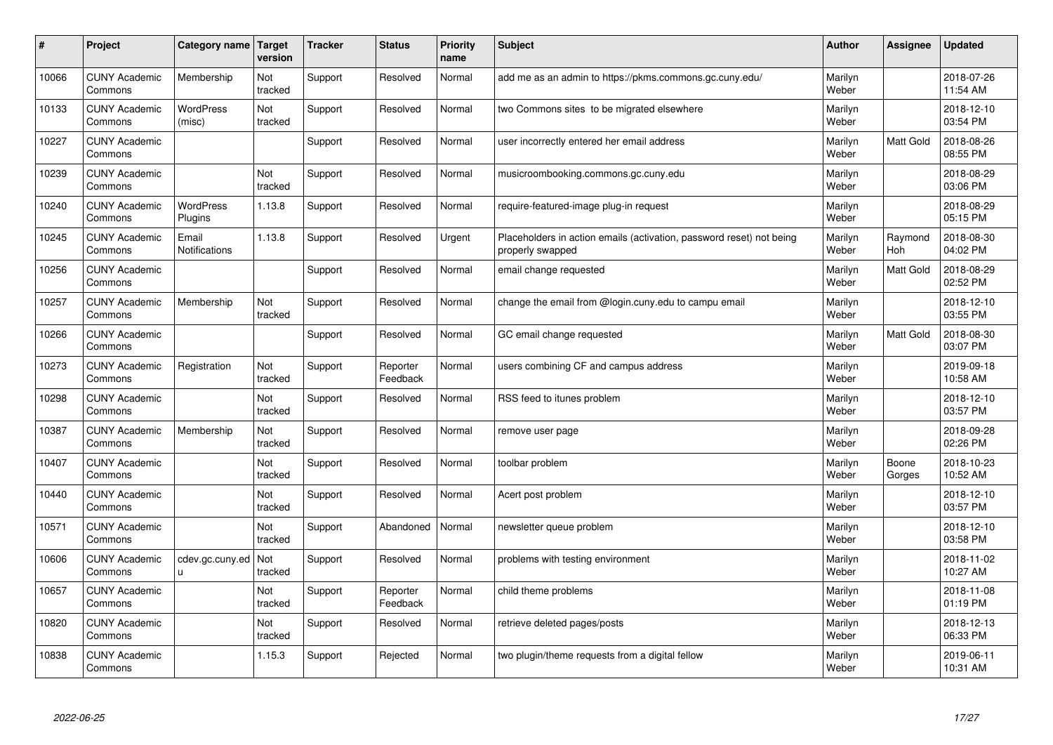| $\sharp$ | Project                         | Category name   Target      | version        | <b>Tracker</b> | <b>Status</b>        | <b>Priority</b><br>name | <b>Subject</b>                                                                           | <b>Author</b>    | Assignee         | <b>Updated</b>         |
|----------|---------------------------------|-----------------------------|----------------|----------------|----------------------|-------------------------|------------------------------------------------------------------------------------------|------------------|------------------|------------------------|
| 10066    | <b>CUNY Academic</b><br>Commons | Membership                  | Not<br>tracked | Support        | Resolved             | Normal                  | add me as an admin to https://pkms.commons.gc.cuny.edu/                                  | Marilyn<br>Weber |                  | 2018-07-26<br>11:54 AM |
| 10133    | <b>CUNY Academic</b><br>Commons | WordPress<br>(misc)         | Not<br>tracked | Support        | Resolved             | Normal                  | two Commons sites to be migrated elsewhere                                               | Marilyn<br>Weber |                  | 2018-12-10<br>03:54 PM |
| 10227    | <b>CUNY Academic</b><br>Commons |                             |                | Support        | Resolved             | Normal                  | user incorrectly entered her email address                                               | Marilyn<br>Weber | Matt Gold        | 2018-08-26<br>08:55 PM |
| 10239    | <b>CUNY Academic</b><br>Commons |                             | Not<br>tracked | Support        | Resolved             | Normal                  | musicroombooking.commons.gc.cuny.edu                                                     | Marilyn<br>Weber |                  | 2018-08-29<br>03:06 PM |
| 10240    | <b>CUNY Academic</b><br>Commons | <b>WordPress</b><br>Plugins | 1.13.8         | Support        | Resolved             | Normal                  | require-featured-image plug-in request                                                   | Marilyn<br>Weber |                  | 2018-08-29<br>05:15 PM |
| 10245    | <b>CUNY Academic</b><br>Commons | Email<br>Notifications      | 1.13.8         | Support        | Resolved             | Urgent                  | Placeholders in action emails (activation, password reset) not being<br>properly swapped | Marilyn<br>Weber | Raymond<br>Hoh   | 2018-08-30<br>04:02 PM |
| 10256    | <b>CUNY Academic</b><br>Commons |                             |                | Support        | Resolved             | Normal                  | email change requested                                                                   | Marilyn<br>Weber | <b>Matt Gold</b> | 2018-08-29<br>02:52 PM |
| 10257    | <b>CUNY Academic</b><br>Commons | Membership                  | Not<br>tracked | Support        | Resolved             | Normal                  | change the email from @login.cuny.edu to campu email                                     | Marilyn<br>Weber |                  | 2018-12-10<br>03:55 PM |
| 10266    | <b>CUNY Academic</b><br>Commons |                             |                | Support        | Resolved             | Normal                  | GC email change requested                                                                | Marilyn<br>Weber | <b>Matt Gold</b> | 2018-08-30<br>03:07 PM |
| 10273    | <b>CUNY Academic</b><br>Commons | Registration                | Not<br>tracked | Support        | Reporter<br>Feedback | Normal                  | users combining CF and campus address                                                    | Marilyn<br>Weber |                  | 2019-09-18<br>10:58 AM |
| 10298    | <b>CUNY Academic</b><br>Commons |                             | Not<br>tracked | Support        | Resolved             | Normal                  | RSS feed to itunes problem                                                               | Marilyn<br>Weber |                  | 2018-12-10<br>03:57 PM |
| 10387    | <b>CUNY Academic</b><br>Commons | Membership                  | Not<br>tracked | Support        | Resolved             | Normal                  | remove user page                                                                         | Marilyn<br>Weber |                  | 2018-09-28<br>02:26 PM |
| 10407    | <b>CUNY Academic</b><br>Commons |                             | Not<br>tracked | Support        | Resolved             | Normal                  | toolbar problem                                                                          | Marilyn<br>Weber | Boone<br>Gorges  | 2018-10-23<br>10:52 AM |
| 10440    | <b>CUNY Academic</b><br>Commons |                             | Not<br>tracked | Support        | Resolved             | Normal                  | Acert post problem                                                                       | Marilyn<br>Weber |                  | 2018-12-10<br>03:57 PM |
| 10571    | <b>CUNY Academic</b><br>Commons |                             | Not<br>tracked | Support        | Abandoned            | Normal                  | newsletter queue problem                                                                 | Marilyn<br>Weber |                  | 2018-12-10<br>03:58 PM |
| 10606    | <b>CUNY Academic</b><br>Commons | cdev.gc.cuny.ed<br>u        | Not<br>tracked | Support        | Resolved             | Normal                  | problems with testing environment                                                        | Marilyn<br>Weber |                  | 2018-11-02<br>10:27 AM |
| 10657    | <b>CUNY Academic</b><br>Commons |                             | Not<br>tracked | Support        | Reporter<br>Feedback | Normal                  | child theme problems                                                                     | Marilyn<br>Weber |                  | 2018-11-08<br>01:19 PM |
| 10820    | <b>CUNY Academic</b><br>Commons |                             | Not<br>tracked | Support        | Resolved             | Normal                  | retrieve deleted pages/posts                                                             | Marilyn<br>Weber |                  | 2018-12-13<br>06:33 PM |
| 10838    | <b>CUNY Academic</b><br>Commons |                             | 1.15.3         | Support        | Rejected             | Normal                  | two plugin/theme requests from a digital fellow                                          | Marilyn<br>Weber |                  | 2019-06-11<br>10:31 AM |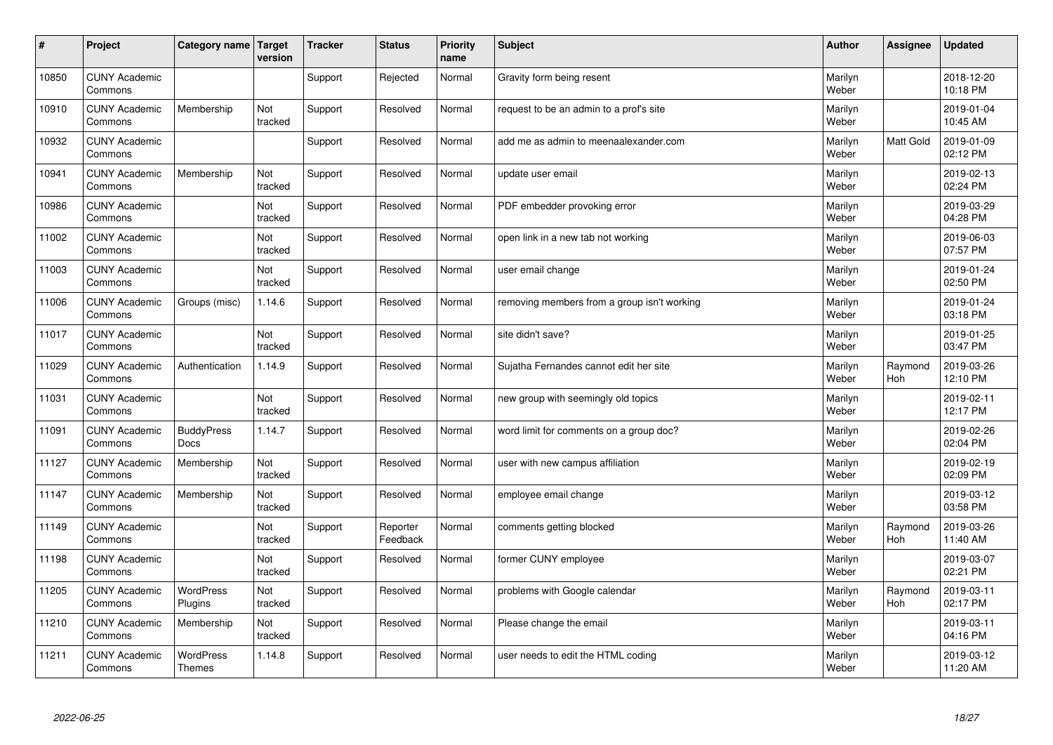| #     | Project                         | Category name   Target            | version        | <b>Tracker</b> | <b>Status</b>        | <b>Priority</b><br>name | <b>Subject</b>                              | <b>Author</b>    | Assignee              | <b>Updated</b>         |
|-------|---------------------------------|-----------------------------------|----------------|----------------|----------------------|-------------------------|---------------------------------------------|------------------|-----------------------|------------------------|
| 10850 | <b>CUNY Academic</b><br>Commons |                                   |                | Support        | Rejected             | Normal                  | Gravity form being resent                   | Marilyn<br>Weber |                       | 2018-12-20<br>10:18 PM |
| 10910 | <b>CUNY Academic</b><br>Commons | Membership                        | Not<br>tracked | Support        | Resolved             | Normal                  | request to be an admin to a prof's site     | Marilyn<br>Weber |                       | 2019-01-04<br>10:45 AM |
| 10932 | <b>CUNY Academic</b><br>Commons |                                   |                | Support        | Resolved             | Normal                  | add me as admin to meenaalexander.com       | Marilyn<br>Weber | Matt Gold             | 2019-01-09<br>02:12 PM |
| 10941 | <b>CUNY Academic</b><br>Commons | Membership                        | Not<br>tracked | Support        | Resolved             | Normal                  | update user email                           | Marilyn<br>Weber |                       | 2019-02-13<br>02:24 PM |
| 10986 | <b>CUNY Academic</b><br>Commons |                                   | Not<br>tracked | Support        | Resolved             | Normal                  | PDF embedder provoking error                | Marilyn<br>Weber |                       | 2019-03-29<br>04:28 PM |
| 11002 | <b>CUNY Academic</b><br>Commons |                                   | Not<br>tracked | Support        | Resolved             | Normal                  | open link in a new tab not working          | Marilyn<br>Weber |                       | 2019-06-03<br>07:57 PM |
| 11003 | <b>CUNY Academic</b><br>Commons |                                   | Not<br>tracked | Support        | Resolved             | Normal                  | user email change                           | Marilyn<br>Weber |                       | 2019-01-24<br>02:50 PM |
| 11006 | <b>CUNY Academic</b><br>Commons | Groups (misc)                     | 1.14.6         | Support        | Resolved             | Normal                  | removing members from a group isn't working | Marilyn<br>Weber |                       | 2019-01-24<br>03:18 PM |
| 11017 | <b>CUNY Academic</b><br>Commons |                                   | Not<br>tracked | Support        | Resolved             | Normal                  | site didn't save?                           | Marilyn<br>Weber |                       | 2019-01-25<br>03:47 PM |
| 11029 | <b>CUNY Academic</b><br>Commons | Authentication                    | 1.14.9         | Support        | Resolved             | Normal                  | Sujatha Fernandes cannot edit her site      | Marilyn<br>Weber | Raymond<br><b>Hoh</b> | 2019-03-26<br>12:10 PM |
| 11031 | <b>CUNY Academic</b><br>Commons |                                   | Not<br>tracked | Support        | Resolved             | Normal                  | new group with seemingly old topics         | Marilyn<br>Weber |                       | 2019-02-11<br>12:17 PM |
| 11091 | <b>CUNY Academic</b><br>Commons | <b>BuddyPress</b><br><b>Docs</b>  | 1.14.7         | Support        | Resolved             | Normal                  | word limit for comments on a group doc?     | Marilyn<br>Weber |                       | 2019-02-26<br>02:04 PM |
| 11127 | <b>CUNY Academic</b><br>Commons | Membership                        | Not<br>tracked | Support        | Resolved             | Normal                  | user with new campus affiliation            | Marilyn<br>Weber |                       | 2019-02-19<br>02:09 PM |
| 11147 | <b>CUNY Academic</b><br>Commons | Membership                        | Not<br>tracked | Support        | Resolved             | Normal                  | employee email change                       | Marilyn<br>Weber |                       | 2019-03-12<br>03:58 PM |
| 11149 | <b>CUNY Academic</b><br>Commons |                                   | Not<br>tracked | Support        | Reporter<br>Feedback | Normal                  | comments getting blocked                    | Marilyn<br>Weber | Raymond<br><b>Hoh</b> | 2019-03-26<br>11:40 AM |
| 11198 | <b>CUNY Academic</b><br>Commons |                                   | Not<br>tracked | Support        | Resolved             | Normal                  | former CUNY employee                        | Marilyn<br>Weber |                       | 2019-03-07<br>02:21 PM |
| 11205 | <b>CUNY Academic</b><br>Commons | <b>WordPress</b><br>Plugins       | Not<br>tracked | Support        | Resolved             | Normal                  | problems with Google calendar               | Marilyn<br>Weber | Raymond<br>Hoh        | 2019-03-11<br>02:17 PM |
| 11210 | <b>CUNY Academic</b><br>Commons | Membership                        | Not<br>tracked | Support        | Resolved             | Normal                  | Please change the email                     | Marilyn<br>Weber |                       | 2019-03-11<br>04:16 PM |
| 11211 | <b>CUNY Academic</b><br>Commons | <b>WordPress</b><br><b>Themes</b> | 1.14.8         | Support        | Resolved             | Normal                  | user needs to edit the HTML coding          | Marilyn<br>Weber |                       | 2019-03-12<br>11:20 AM |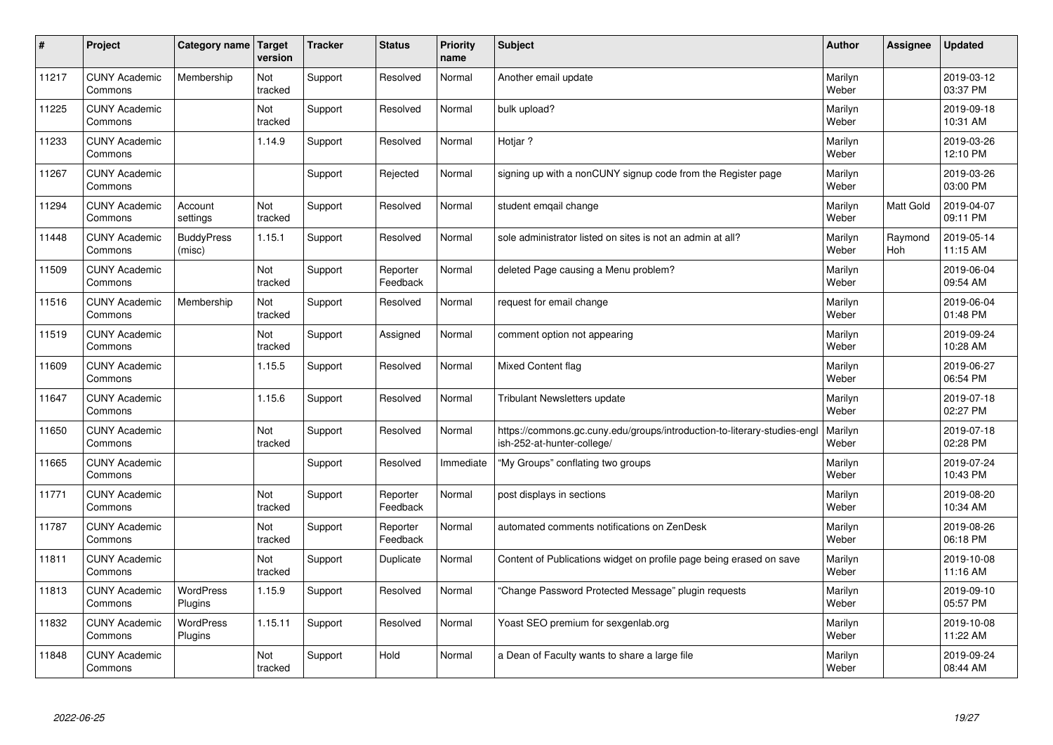| $\vert$ # | Project                         | Category name               | Target<br>version | <b>Tracker</b> | <b>Status</b>        | <b>Priority</b><br>name | <b>Subject</b>                                                                                         | <b>Author</b>    | Assignee         | <b>Updated</b>         |
|-----------|---------------------------------|-----------------------------|-------------------|----------------|----------------------|-------------------------|--------------------------------------------------------------------------------------------------------|------------------|------------------|------------------------|
| 11217     | <b>CUNY Academic</b><br>Commons | Membership                  | Not<br>tracked    | Support        | Resolved             | Normal                  | Another email update                                                                                   | Marilyn<br>Weber |                  | 2019-03-12<br>03:37 PM |
| 11225     | <b>CUNY Academic</b><br>Commons |                             | Not<br>tracked    | Support        | Resolved             | Normal                  | bulk upload?                                                                                           | Marilyn<br>Weber |                  | 2019-09-18<br>10:31 AM |
| 11233     | <b>CUNY Academic</b><br>Commons |                             | 1.14.9            | Support        | Resolved             | Normal                  | Hotjar ?                                                                                               | Marilyn<br>Weber |                  | 2019-03-26<br>12:10 PM |
| 11267     | <b>CUNY Academic</b><br>Commons |                             |                   | Support        | Rejected             | Normal                  | signing up with a nonCUNY signup code from the Register page                                           | Marilyn<br>Weber |                  | 2019-03-26<br>03:00 PM |
| 11294     | <b>CUNY Academic</b><br>Commons | Account<br>settings         | Not<br>tracked    | Support        | Resolved             | Normal                  | student emgail change                                                                                  | Marilyn<br>Weber | <b>Matt Gold</b> | 2019-04-07<br>09:11 PM |
| 11448     | <b>CUNY Academic</b><br>Commons | <b>BuddyPress</b><br>(misc) | 1.15.1            | Support        | Resolved             | Normal                  | sole administrator listed on sites is not an admin at all?                                             | Marilyn<br>Weber | Raymond<br>Hoh   | 2019-05-14<br>11:15 AM |
| 11509     | <b>CUNY Academic</b><br>Commons |                             | Not<br>tracked    | Support        | Reporter<br>Feedback | Normal                  | deleted Page causing a Menu problem?                                                                   | Marilyn<br>Weber |                  | 2019-06-04<br>09:54 AM |
| 11516     | <b>CUNY Academic</b><br>Commons | Membership                  | Not<br>tracked    | Support        | Resolved             | Normal                  | request for email change                                                                               | Marilyn<br>Weber |                  | 2019-06-04<br>01:48 PM |
| 11519     | <b>CUNY Academic</b><br>Commons |                             | Not<br>tracked    | Support        | Assigned             | Normal                  | comment option not appearing                                                                           | Marilyn<br>Weber |                  | 2019-09-24<br>10:28 AM |
| 11609     | <b>CUNY Academic</b><br>Commons |                             | 1.15.5            | Support        | Resolved             | Normal                  | Mixed Content flag                                                                                     | Marilyn<br>Weber |                  | 2019-06-27<br>06:54 PM |
| 11647     | <b>CUNY Academic</b><br>Commons |                             | 1.15.6            | Support        | Resolved             | Normal                  | <b>Tribulant Newsletters update</b>                                                                    | Marilyn<br>Weber |                  | 2019-07-18<br>02:27 PM |
| 11650     | <b>CUNY Academic</b><br>Commons |                             | Not<br>tracked    | Support        | Resolved             | Normal                  | https://commons.gc.cuny.edu/groups/introduction-to-literary-studies-engl<br>ish-252-at-hunter-college/ | Marilyn<br>Weber |                  | 2019-07-18<br>02:28 PM |
| 11665     | <b>CUNY Academic</b><br>Commons |                             |                   | Support        | Resolved             | Immediate               | "My Groups" conflating two groups                                                                      | Marilyn<br>Weber |                  | 2019-07-24<br>10:43 PM |
| 11771     | <b>CUNY Academic</b><br>Commons |                             | Not<br>tracked    | Support        | Reporter<br>Feedback | Normal                  | post displays in sections                                                                              | Marilyn<br>Weber |                  | 2019-08-20<br>10:34 AM |
| 11787     | <b>CUNY Academic</b><br>Commons |                             | Not<br>tracked    | Support        | Reporter<br>Feedback | Normal                  | automated comments notifications on ZenDesk                                                            | Marilyn<br>Weber |                  | 2019-08-26<br>06:18 PM |
| 11811     | <b>CUNY Academic</b><br>Commons |                             | Not<br>tracked    | Support        | Duplicate            | Normal                  | Content of Publications widget on profile page being erased on save                                    | Marilyn<br>Weber |                  | 2019-10-08<br>11:16 AM |
| 11813     | <b>CUNY Academic</b><br>Commons | WordPress<br>Plugins        | 1.15.9            | Support        | Resolved             | Normal                  | 'Change Password Protected Message" plugin requests                                                    | Marilyn<br>Weber |                  | 2019-09-10<br>05:57 PM |
| 11832     | <b>CUNY Academic</b><br>Commons | <b>WordPress</b><br>Plugins | 1.15.11           | Support        | Resolved             | Normal                  | Yoast SEO premium for sexgenlab.org                                                                    | Marilyn<br>Weber |                  | 2019-10-08<br>11:22 AM |
| 11848     | <b>CUNY Academic</b><br>Commons |                             | Not<br>tracked    | Support        | Hold                 | Normal                  | a Dean of Faculty wants to share a large file                                                          | Marilyn<br>Weber |                  | 2019-09-24<br>08:44 AM |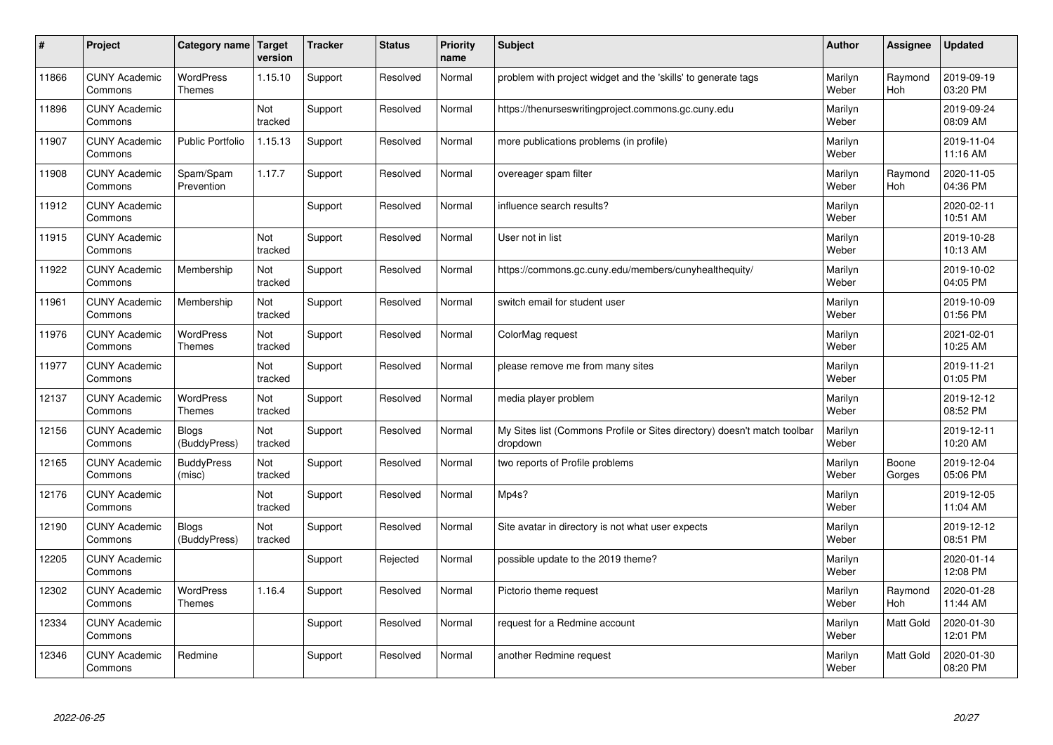| $\sharp$ | Project                         | Category name                     | Target<br>version | <b>Tracker</b> | <b>Status</b> | <b>Priority</b><br>name | <b>Subject</b>                                                                       | <b>Author</b>    | Assignee              | Updated                |
|----------|---------------------------------|-----------------------------------|-------------------|----------------|---------------|-------------------------|--------------------------------------------------------------------------------------|------------------|-----------------------|------------------------|
| 11866    | <b>CUNY Academic</b><br>Commons | <b>WordPress</b><br><b>Themes</b> | 1.15.10           | Support        | Resolved      | Normal                  | problem with project widget and the 'skills' to generate tags                        | Marilyn<br>Weber | Raymond<br><b>Hoh</b> | 2019-09-19<br>03:20 PM |
| 11896    | <b>CUNY Academic</b><br>Commons |                                   | Not<br>tracked    | Support        | Resolved      | Normal                  | https://thenurseswritingproject.commons.gc.cuny.edu                                  | Marilyn<br>Weber |                       | 2019-09-24<br>08:09 AM |
| 11907    | <b>CUNY Academic</b><br>Commons | <b>Public Portfolio</b>           | 1.15.13           | Support        | Resolved      | Normal                  | more publications problems (in profile)                                              | Marilyn<br>Weber |                       | 2019-11-04<br>11:16 AM |
| 11908    | <b>CUNY Academic</b><br>Commons | Spam/Spam<br>Prevention           | 1.17.7            | Support        | Resolved      | Normal                  | overeager spam filter                                                                | Marilyn<br>Weber | Raymond<br><b>Hoh</b> | 2020-11-05<br>04:36 PM |
| 11912    | <b>CUNY Academic</b><br>Commons |                                   |                   | Support        | Resolved      | Normal                  | influence search results?                                                            | Marilyn<br>Weber |                       | 2020-02-11<br>10:51 AM |
| 11915    | <b>CUNY Academic</b><br>Commons |                                   | Not<br>tracked    | Support        | Resolved      | Normal                  | User not in list                                                                     | Marilyn<br>Weber |                       | 2019-10-28<br>10:13 AM |
| 11922    | <b>CUNY Academic</b><br>Commons | Membership                        | Not<br>tracked    | Support        | Resolved      | Normal                  | https://commons.gc.cuny.edu/members/cunyhealthequity/                                | Marilyn<br>Weber |                       | 2019-10-02<br>04:05 PM |
| 11961    | <b>CUNY Academic</b><br>Commons | Membership                        | Not<br>tracked    | Support        | Resolved      | Normal                  | switch email for student user                                                        | Marilyn<br>Weber |                       | 2019-10-09<br>01:56 PM |
| 11976    | <b>CUNY Academic</b><br>Commons | <b>WordPress</b><br><b>Themes</b> | Not<br>tracked    | Support        | Resolved      | Normal                  | ColorMag request                                                                     | Marilyn<br>Weber |                       | 2021-02-01<br>10:25 AM |
| 11977    | <b>CUNY Academic</b><br>Commons |                                   | Not<br>tracked    | Support        | Resolved      | Normal                  | please remove me from many sites                                                     | Marilyn<br>Weber |                       | 2019-11-21<br>01:05 PM |
| 12137    | <b>CUNY Academic</b><br>Commons | <b>WordPress</b><br><b>Themes</b> | Not<br>tracked    | Support        | Resolved      | Normal                  | media player problem                                                                 | Marilyn<br>Weber |                       | 2019-12-12<br>08:52 PM |
| 12156    | <b>CUNY Academic</b><br>Commons | <b>Blogs</b><br>(BuddyPress)      | Not<br>tracked    | Support        | Resolved      | Normal                  | My Sites list (Commons Profile or Sites directory) doesn't match toolbar<br>dropdown | Marilyn<br>Weber |                       | 2019-12-11<br>10:20 AM |
| 12165    | <b>CUNY Academic</b><br>Commons | <b>BuddyPress</b><br>(misc)       | Not<br>tracked    | Support        | Resolved      | Normal                  | two reports of Profile problems                                                      | Marilyn<br>Weber | Boone<br>Gorges       | 2019-12-04<br>05:06 PM |
| 12176    | <b>CUNY Academic</b><br>Commons |                                   | Not<br>tracked    | Support        | Resolved      | Normal                  | Mp4s?                                                                                | Marilyn<br>Weber |                       | 2019-12-05<br>11:04 AM |
| 12190    | <b>CUNY Academic</b><br>Commons | <b>Blogs</b><br>(BuddyPress)      | Not<br>tracked    | Support        | Resolved      | Normal                  | Site avatar in directory is not what user expects                                    | Marilyn<br>Weber |                       | 2019-12-12<br>08:51 PM |
| 12205    | <b>CUNY Academic</b><br>Commons |                                   |                   | Support        | Rejected      | Normal                  | possible update to the 2019 theme?                                                   | Marilyn<br>Weber |                       | 2020-01-14<br>12:08 PM |
| 12302    | <b>CUNY Academic</b><br>Commons | WordPress<br>Themes               | 1.16.4            | Support        | Resolved      | Normal                  | Pictorio theme request                                                               | Marilyn<br>Weber | Raymond<br>Hoh        | 2020-01-28<br>11:44 AM |
| 12334    | <b>CUNY Academic</b><br>Commons |                                   |                   | Support        | Resolved      | Normal                  | request for a Redmine account                                                        | Marilyn<br>Weber | Matt Gold             | 2020-01-30<br>12:01 PM |
| 12346    | <b>CUNY Academic</b><br>Commons | Redmine                           |                   | Support        | Resolved      | Normal                  | another Redmine request                                                              | Marilyn<br>Weber | <b>Matt Gold</b>      | 2020-01-30<br>08:20 PM |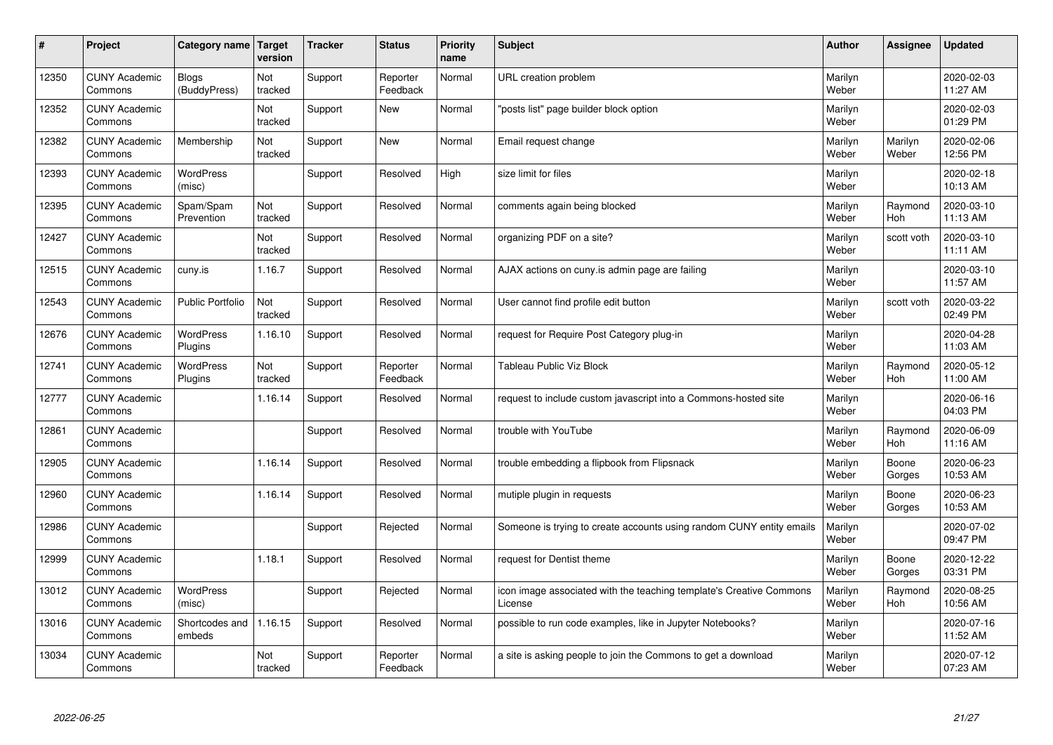| #     | Project                         | Category name   Target       | version        | <b>Tracker</b> | <b>Status</b>        | <b>Priority</b><br>name | <b>Subject</b>                                                                 | <b>Author</b>    | Assignee              | <b>Updated</b>         |
|-------|---------------------------------|------------------------------|----------------|----------------|----------------------|-------------------------|--------------------------------------------------------------------------------|------------------|-----------------------|------------------------|
| 12350 | <b>CUNY Academic</b><br>Commons | <b>Blogs</b><br>(BuddyPress) | Not<br>tracked | Support        | Reporter<br>Feedback | Normal                  | URL creation problem                                                           | Marilyn<br>Weber |                       | 2020-02-03<br>11:27 AM |
| 12352 | <b>CUNY Academic</b><br>Commons |                              | Not<br>tracked | Support        | <b>New</b>           | Normal                  | 'posts list" page builder block option                                         | Marilyn<br>Weber |                       | 2020-02-03<br>01:29 PM |
| 12382 | <b>CUNY Academic</b><br>Commons | Membership                   | Not<br>tracked | Support        | <b>New</b>           | Normal                  | Email request change                                                           | Marilyn<br>Weber | Marilyn<br>Weber      | 2020-02-06<br>12:56 PM |
| 12393 | <b>CUNY Academic</b><br>Commons | <b>WordPress</b><br>(misc)   |                | Support        | Resolved             | High                    | size limit for files                                                           | Marilyn<br>Weber |                       | 2020-02-18<br>10:13 AM |
| 12395 | <b>CUNY Academic</b><br>Commons | Spam/Spam<br>Prevention      | Not<br>tracked | Support        | Resolved             | Normal                  | comments again being blocked                                                   | Marilyn<br>Weber | Raymond<br>Hoh        | 2020-03-10<br>11:13 AM |
| 12427 | <b>CUNY Academic</b><br>Commons |                              | Not<br>tracked | Support        | Resolved             | Normal                  | organizing PDF on a site?                                                      | Marilyn<br>Weber | scott voth            | 2020-03-10<br>11:11 AM |
| 12515 | <b>CUNY Academic</b><br>Commons | cuny.is                      | 1.16.7         | Support        | Resolved             | Normal                  | AJAX actions on cuny is admin page are failing                                 | Marilyn<br>Weber |                       | 2020-03-10<br>11:57 AM |
| 12543 | <b>CUNY Academic</b><br>Commons | <b>Public Portfolio</b>      | Not<br>tracked | Support        | Resolved             | Normal                  | User cannot find profile edit button                                           | Marilyn<br>Weber | scott voth            | 2020-03-22<br>02:49 PM |
| 12676 | <b>CUNY Academic</b><br>Commons | <b>WordPress</b><br>Plugins  | 1.16.10        | Support        | Resolved             | Normal                  | request for Require Post Category plug-in                                      | Marilyn<br>Weber |                       | 2020-04-28<br>11:03 AM |
| 12741 | <b>CUNY Academic</b><br>Commons | <b>WordPress</b><br>Plugins  | Not<br>tracked | Support        | Reporter<br>Feedback | Normal                  | <b>Tableau Public Viz Block</b>                                                | Marilyn<br>Weber | Raymond<br>Hoh        | 2020-05-12<br>11:00 AM |
| 12777 | <b>CUNY Academic</b><br>Commons |                              | 1.16.14        | Support        | Resolved             | Normal                  | request to include custom javascript into a Commons-hosted site                | Marilyn<br>Weber |                       | 2020-06-16<br>04:03 PM |
| 12861 | <b>CUNY Academic</b><br>Commons |                              |                | Support        | Resolved             | Normal                  | trouble with YouTube                                                           | Marilyn<br>Weber | Raymond<br>Hoh        | 2020-06-09<br>11:16 AM |
| 12905 | <b>CUNY Academic</b><br>Commons |                              | 1.16.14        | Support        | Resolved             | Normal                  | trouble embedding a flipbook from Flipsnack                                    | Marilyn<br>Weber | Boone<br>Gorges       | 2020-06-23<br>10:53 AM |
| 12960 | <b>CUNY Academic</b><br>Commons |                              | 1.16.14        | Support        | Resolved             | Normal                  | mutiple plugin in requests                                                     | Marilyn<br>Weber | Boone<br>Gorges       | 2020-06-23<br>10:53 AM |
| 12986 | <b>CUNY Academic</b><br>Commons |                              |                | Support        | Rejected             | Normal                  | Someone is trying to create accounts using random CUNY entity emails           | Marilyn<br>Weber |                       | 2020-07-02<br>09:47 PM |
| 12999 | <b>CUNY Academic</b><br>Commons |                              | 1.18.1         | Support        | Resolved             | Normal                  | request for Dentist theme                                                      | Marilyn<br>Weber | Boone<br>Gorges       | 2020-12-22<br>03:31 PM |
| 13012 | <b>CUNY Academic</b><br>Commons | <b>WordPress</b><br>(misc)   |                | Support        | Rejected             | Normal                  | icon image associated with the teaching template's Creative Commons<br>License | Marilyn<br>Weber | Raymond<br><b>Hoh</b> | 2020-08-25<br>10:56 AM |
| 13016 | <b>CUNY Academic</b><br>Commons | Shortcodes and<br>embeds     | 1.16.15        | Support        | Resolved             | Normal                  | possible to run code examples, like in Jupyter Notebooks?                      | Marilyn<br>Weber |                       | 2020-07-16<br>11:52 AM |
| 13034 | <b>CUNY Academic</b><br>Commons |                              | Not<br>tracked | Support        | Reporter<br>Feedback | Normal                  | a site is asking people to join the Commons to get a download                  | Marilyn<br>Weber |                       | 2020-07-12<br>07:23 AM |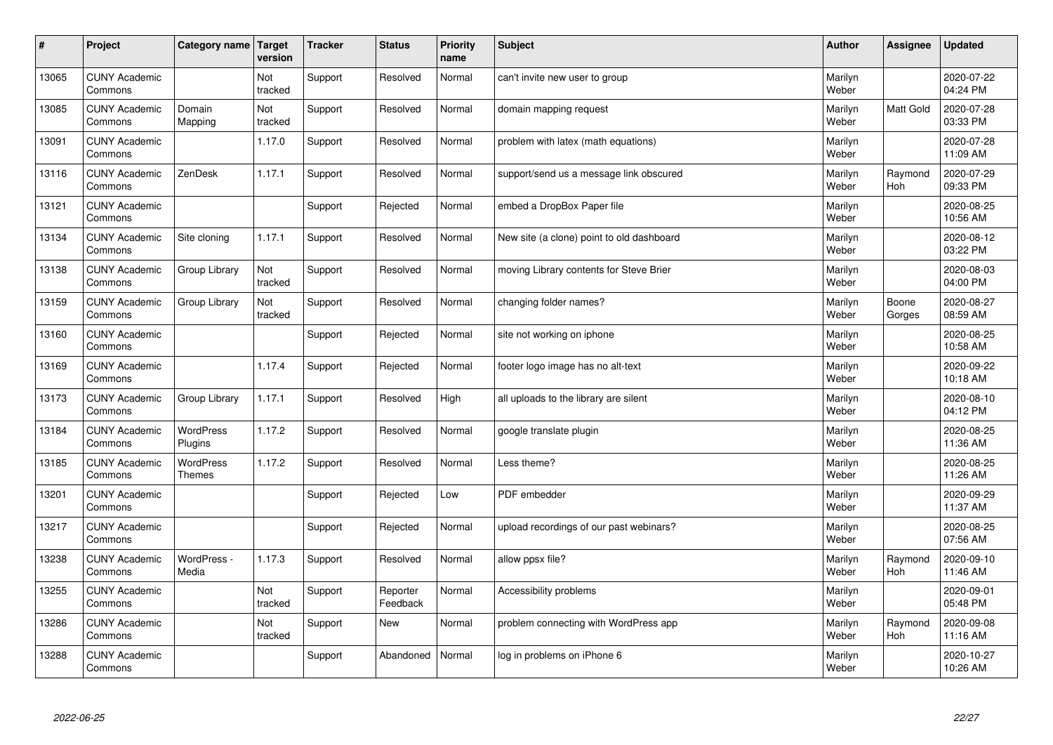| #     | Project                         | Category name   Target            | version        | <b>Tracker</b> | <b>Status</b>        | <b>Priority</b><br>name | <b>Subject</b>                            | <b>Author</b>    | Assignee        | <b>Updated</b>         |
|-------|---------------------------------|-----------------------------------|----------------|----------------|----------------------|-------------------------|-------------------------------------------|------------------|-----------------|------------------------|
| 13065 | <b>CUNY Academic</b><br>Commons |                                   | Not<br>tracked | Support        | Resolved             | Normal                  | can't invite new user to group            | Marilyn<br>Weber |                 | 2020-07-22<br>04:24 PM |
| 13085 | <b>CUNY Academic</b><br>Commons | Domain<br>Mapping                 | Not<br>tracked | Support        | Resolved             | Normal                  | domain mapping request                    | Marilyn<br>Weber | Matt Gold       | 2020-07-28<br>03:33 PM |
| 13091 | <b>CUNY Academic</b><br>Commons |                                   | 1.17.0         | Support        | Resolved             | Normal                  | problem with latex (math equations)       | Marilyn<br>Weber |                 | 2020-07-28<br>11:09 AM |
| 13116 | <b>CUNY Academic</b><br>Commons | ZenDesk                           | 1.17.1         | Support        | Resolved             | Normal                  | support/send us a message link obscured   | Marilyn<br>Weber | Raymond<br>Hoh  | 2020-07-29<br>09:33 PM |
| 13121 | <b>CUNY Academic</b><br>Commons |                                   |                | Support        | Rejected             | Normal                  | embed a DropBox Paper file                | Marilyn<br>Weber |                 | 2020-08-25<br>10:56 AM |
| 13134 | <b>CUNY Academic</b><br>Commons | Site cloning                      | 1.17.1         | Support        | Resolved             | Normal                  | New site (a clone) point to old dashboard | Marilyn<br>Weber |                 | 2020-08-12<br>03:22 PM |
| 13138 | <b>CUNY Academic</b><br>Commons | Group Library                     | Not<br>tracked | Support        | Resolved             | Normal                  | moving Library contents for Steve Brier   | Marilyn<br>Weber |                 | 2020-08-03<br>04:00 PM |
| 13159 | <b>CUNY Academic</b><br>Commons | Group Library                     | Not<br>tracked | Support        | Resolved             | Normal                  | changing folder names?                    | Marilyn<br>Weber | Boone<br>Gorges | 2020-08-27<br>08:59 AM |
| 13160 | <b>CUNY Academic</b><br>Commons |                                   |                | Support        | Rejected             | Normal                  | site not working on iphone                | Marilyn<br>Weber |                 | 2020-08-25<br>10:58 AM |
| 13169 | <b>CUNY Academic</b><br>Commons |                                   | 1.17.4         | Support        | Rejected             | Normal                  | footer logo image has no alt-text         | Marilyn<br>Weber |                 | 2020-09-22<br>10:18 AM |
| 13173 | <b>CUNY Academic</b><br>Commons | Group Library                     | 1.17.1         | Support        | Resolved             | High                    | all uploads to the library are silent     | Marilyn<br>Weber |                 | 2020-08-10<br>04:12 PM |
| 13184 | <b>CUNY Academic</b><br>Commons | WordPress<br>Plugins              | 1.17.2         | Support        | Resolved             | Normal                  | google translate plugin                   | Marilyn<br>Weber |                 | 2020-08-25<br>11:36 AM |
| 13185 | <b>CUNY Academic</b><br>Commons | <b>WordPress</b><br><b>Themes</b> | 1.17.2         | Support        | Resolved             | Normal                  | Less theme?                               | Marilyn<br>Weber |                 | 2020-08-25<br>11:26 AM |
| 13201 | <b>CUNY Academic</b><br>Commons |                                   |                | Support        | Rejected             | Low                     | PDF embedder                              | Marilyn<br>Weber |                 | 2020-09-29<br>11:37 AM |
| 13217 | <b>CUNY Academic</b><br>Commons |                                   |                | Support        | Rejected             | Normal                  | upload recordings of our past webinars?   | Marilyn<br>Weber |                 | 2020-08-25<br>07:56 AM |
| 13238 | <b>CUNY Academic</b><br>Commons | WordPress -<br>Media              | 1.17.3         | Support        | Resolved             | Normal                  | allow ppsx file?                          | Marilyn<br>Weber | Raymond<br>Hoh  | 2020-09-10<br>11:46 AM |
| 13255 | <b>CUNY Academic</b><br>Commons |                                   | Not<br>tracked | Support        | Reporter<br>Feedback | Normal                  | Accessibility problems                    | Marilyn<br>Weber |                 | 2020-09-01<br>05:48 PM |
| 13286 | <b>CUNY Academic</b><br>Commons |                                   | Not<br>tracked | Support        | New                  | Normal                  | problem connecting with WordPress app     | Marilyn<br>Weber | Raymond<br>Hoh  | 2020-09-08<br>11:16 AM |
| 13288 | <b>CUNY Academic</b><br>Commons |                                   |                | Support        | Abandoned            | Normal                  | log in problems on iPhone 6               | Marilyn<br>Weber |                 | 2020-10-27<br>10:26 AM |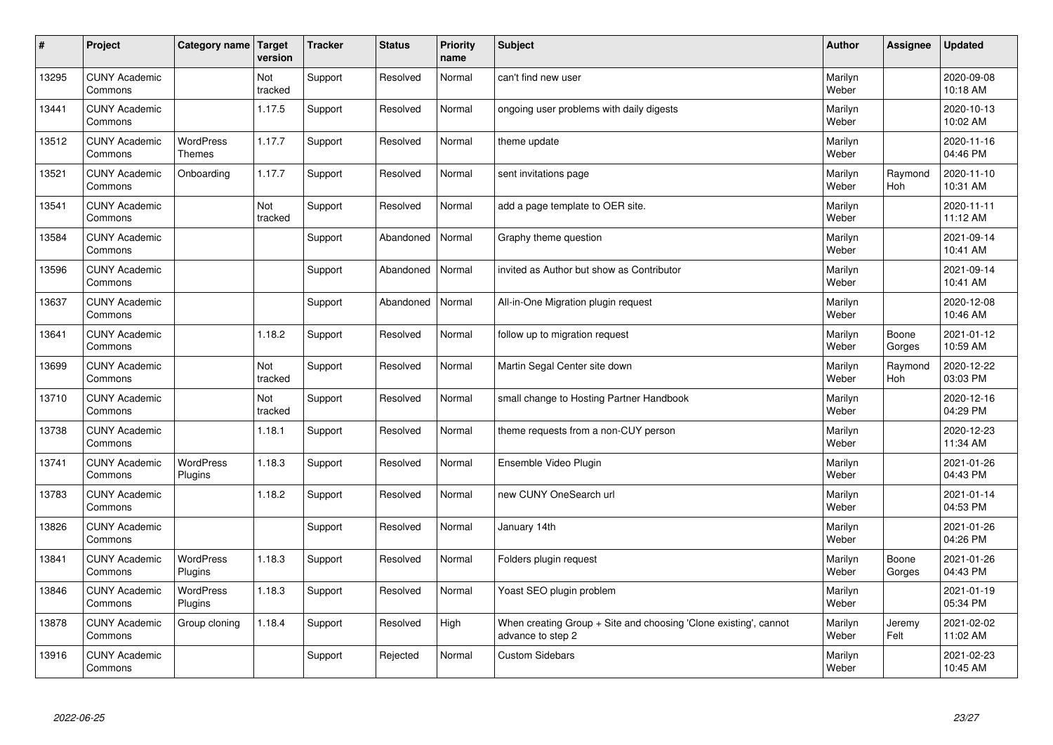| $\sharp$ | Project                         | Category name   Target            | version        | <b>Tracker</b> | <b>Status</b> | <b>Priority</b><br>name | <b>Subject</b>                                                                        | <b>Author</b>    | <b>Assignee</b>       | <b>Updated</b>         |
|----------|---------------------------------|-----------------------------------|----------------|----------------|---------------|-------------------------|---------------------------------------------------------------------------------------|------------------|-----------------------|------------------------|
| 13295    | <b>CUNY Academic</b><br>Commons |                                   | Not<br>tracked | Support        | Resolved      | Normal                  | can't find new user                                                                   | Marilyn<br>Weber |                       | 2020-09-08<br>10:18 AM |
| 13441    | <b>CUNY Academic</b><br>Commons |                                   | 1.17.5         | Support        | Resolved      | Normal                  | ongoing user problems with daily digests                                              | Marilyn<br>Weber |                       | 2020-10-13<br>10:02 AM |
| 13512    | <b>CUNY Academic</b><br>Commons | <b>WordPress</b><br><b>Themes</b> | 1.17.7         | Support        | Resolved      | Normal                  | theme update                                                                          | Marilyn<br>Weber |                       | 2020-11-16<br>04:46 PM |
| 13521    | <b>CUNY Academic</b><br>Commons | Onboarding                        | 1.17.7         | Support        | Resolved      | Normal                  | sent invitations page                                                                 | Marilyn<br>Weber | Raymond<br>Hoh        | 2020-11-10<br>10:31 AM |
| 13541    | <b>CUNY Academic</b><br>Commons |                                   | Not<br>tracked | Support        | Resolved      | Normal                  | add a page template to OER site.                                                      | Marilyn<br>Weber |                       | 2020-11-11<br>11:12 AM |
| 13584    | <b>CUNY Academic</b><br>Commons |                                   |                | Support        | Abandoned     | Normal                  | Graphy theme question                                                                 | Marilyn<br>Weber |                       | 2021-09-14<br>10:41 AM |
| 13596    | <b>CUNY Academic</b><br>Commons |                                   |                | Support        | Abandoned     | Normal                  | invited as Author but show as Contributor                                             | Marilyn<br>Weber |                       | 2021-09-14<br>10:41 AM |
| 13637    | <b>CUNY Academic</b><br>Commons |                                   |                | Support        | Abandoned     | Normal                  | All-in-One Migration plugin request                                                   | Marilyn<br>Weber |                       | 2020-12-08<br>10:46 AM |
| 13641    | <b>CUNY Academic</b><br>Commons |                                   | 1.18.2         | Support        | Resolved      | Normal                  | follow up to migration request                                                        | Marilyn<br>Weber | Boone<br>Gorges       | 2021-01-12<br>10:59 AM |
| 13699    | <b>CUNY Academic</b><br>Commons |                                   | Not<br>tracked | Support        | Resolved      | Normal                  | Martin Segal Center site down                                                         | Marilyn<br>Weber | Raymond<br><b>Hoh</b> | 2020-12-22<br>03:03 PM |
| 13710    | <b>CUNY Academic</b><br>Commons |                                   | Not<br>tracked | Support        | Resolved      | Normal                  | small change to Hosting Partner Handbook                                              | Marilyn<br>Weber |                       | 2020-12-16<br>04:29 PM |
| 13738    | <b>CUNY Academic</b><br>Commons |                                   | 1.18.1         | Support        | Resolved      | Normal                  | theme requests from a non-CUY person                                                  | Marilyn<br>Weber |                       | 2020-12-23<br>11:34 AM |
| 13741    | <b>CUNY Academic</b><br>Commons | <b>WordPress</b><br>Plugins       | 1.18.3         | Support        | Resolved      | Normal                  | Ensemble Video Plugin                                                                 | Marilyn<br>Weber |                       | 2021-01-26<br>04:43 PM |
| 13783    | <b>CUNY Academic</b><br>Commons |                                   | 1.18.2         | Support        | Resolved      | Normal                  | new CUNY OneSearch url                                                                | Marilyn<br>Weber |                       | 2021-01-14<br>04:53 PM |
| 13826    | <b>CUNY Academic</b><br>Commons |                                   |                | Support        | Resolved      | Normal                  | January 14th                                                                          | Marilyn<br>Weber |                       | 2021-01-26<br>04:26 PM |
| 13841    | <b>CUNY Academic</b><br>Commons | <b>WordPress</b><br>Plugins       | 1.18.3         | Support        | Resolved      | Normal                  | Folders plugin request                                                                | Marilyn<br>Weber | Boone<br>Gorges       | 2021-01-26<br>04:43 PM |
| 13846    | <b>CUNY Academic</b><br>Commons | WordPress<br>Plugins              | 1.18.3         | Support        | Resolved      | Normal                  | Yoast SEO plugin problem                                                              | Marilyn<br>Weber |                       | 2021-01-19<br>05:34 PM |
| 13878    | <b>CUNY Academic</b><br>Commons | Group cloning                     | 1.18.4         | Support        | Resolved      | High                    | When creating Group + Site and choosing 'Clone existing', cannot<br>advance to step 2 | Marilyn<br>Weber | Jeremy<br>Felt        | 2021-02-02<br>11:02 AM |
| 13916    | <b>CUNY Academic</b><br>Commons |                                   |                | Support        | Rejected      | Normal                  | <b>Custom Sidebars</b>                                                                | Marilyn<br>Weber |                       | 2021-02-23<br>10:45 AM |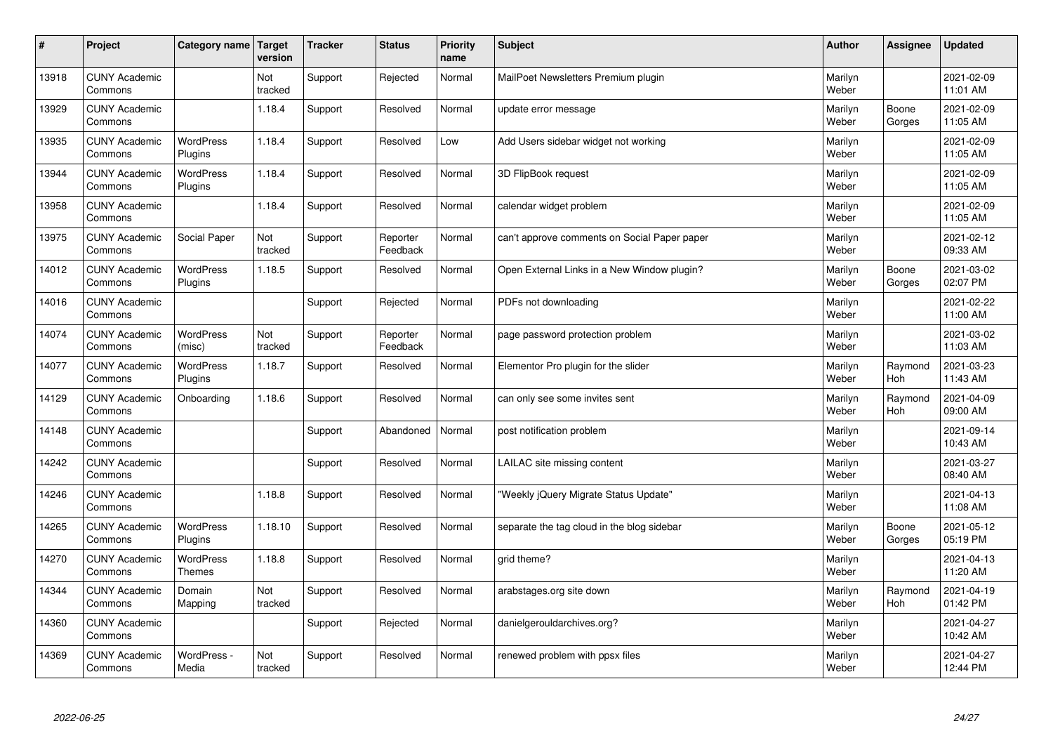| #     | Project                         | Category name   Target      | version        | <b>Tracker</b> | <b>Status</b>        | <b>Priority</b><br>name | <b>Subject</b>                               | <b>Author</b>    | Assignee              | <b>Updated</b>         |
|-------|---------------------------------|-----------------------------|----------------|----------------|----------------------|-------------------------|----------------------------------------------|------------------|-----------------------|------------------------|
| 13918 | <b>CUNY Academic</b><br>Commons |                             | Not<br>tracked | Support        | Rejected             | Normal                  | MailPoet Newsletters Premium plugin          | Marilyn<br>Weber |                       | 2021-02-09<br>11:01 AM |
| 13929 | <b>CUNY Academic</b><br>Commons |                             | 1.18.4         | Support        | Resolved             | Normal                  | update error message                         | Marilyn<br>Weber | Boone<br>Gorges       | 2021-02-09<br>11:05 AM |
| 13935 | <b>CUNY Academic</b><br>Commons | <b>WordPress</b><br>Plugins | 1.18.4         | Support        | Resolved             | Low                     | Add Users sidebar widget not working         | Marilyn<br>Weber |                       | 2021-02-09<br>11:05 AM |
| 13944 | <b>CUNY Academic</b><br>Commons | <b>WordPress</b><br>Plugins | 1.18.4         | Support        | Resolved             | Normal                  | 3D FlipBook request                          | Marilyn<br>Weber |                       | 2021-02-09<br>11:05 AM |
| 13958 | <b>CUNY Academic</b><br>Commons |                             | 1.18.4         | Support        | Resolved             | Normal                  | calendar widget problem                      | Marilyn<br>Weber |                       | 2021-02-09<br>11:05 AM |
| 13975 | <b>CUNY Academic</b><br>Commons | Social Paper                | Not<br>tracked | Support        | Reporter<br>Feedback | Normal                  | can't approve comments on Social Paper paper | Marilyn<br>Weber |                       | 2021-02-12<br>09:33 AM |
| 14012 | <b>CUNY Academic</b><br>Commons | <b>WordPress</b><br>Plugins | 1.18.5         | Support        | Resolved             | Normal                  | Open External Links in a New Window plugin?  | Marilyn<br>Weber | Boone<br>Gorges       | 2021-03-02<br>02:07 PM |
| 14016 | <b>CUNY Academic</b><br>Commons |                             |                | Support        | Rejected             | Normal                  | PDFs not downloading                         | Marilyn<br>Weber |                       | 2021-02-22<br>11:00 AM |
| 14074 | <b>CUNY Academic</b><br>Commons | <b>WordPress</b><br>(misc)  | Not<br>tracked | Support        | Reporter<br>Feedback | Normal                  | page password protection problem             | Marilyn<br>Weber |                       | 2021-03-02<br>11:03 AM |
| 14077 | <b>CUNY Academic</b><br>Commons | <b>WordPress</b><br>Plugins | 1.18.7         | Support        | Resolved             | Normal                  | Elementor Pro plugin for the slider          | Marilyn<br>Weber | Raymond<br><b>Hoh</b> | 2021-03-23<br>11:43 AM |
| 14129 | <b>CUNY Academic</b><br>Commons | Onboarding                  | 1.18.6         | Support        | Resolved             | Normal                  | can only see some invites sent               | Marilyn<br>Weber | Raymond<br><b>Hoh</b> | 2021-04-09<br>09:00 AM |
| 14148 | <b>CUNY Academic</b><br>Commons |                             |                | Support        | Abandoned            | Normal                  | post notification problem                    | Marilyn<br>Weber |                       | 2021-09-14<br>10:43 AM |
| 14242 | <b>CUNY Academic</b><br>Commons |                             |                | Support        | Resolved             | Normal                  | LAILAC site missing content                  | Marilyn<br>Weber |                       | 2021-03-27<br>08:40 AM |
| 14246 | <b>CUNY Academic</b><br>Commons |                             | 1.18.8         | Support        | Resolved             | Normal                  | 'Weekly jQuery Migrate Status Update"        | Marilyn<br>Weber |                       | 2021-04-13<br>11:08 AM |
| 14265 | <b>CUNY Academic</b><br>Commons | WordPress<br>Plugins        | 1.18.10        | Support        | Resolved             | Normal                  | separate the tag cloud in the blog sidebar   | Marilyn<br>Weber | Boone<br>Gorges       | 2021-05-12<br>05:19 PM |
| 14270 | <b>CUNY Academic</b><br>Commons | <b>WordPress</b><br>Themes  | 1.18.8         | Support        | Resolved             | Normal                  | grid theme?                                  | Marilyn<br>Weber |                       | 2021-04-13<br>11:20 AM |
| 14344 | <b>CUNY Academic</b><br>Commons | Domain<br>Mapping           | Not<br>tracked | Support        | Resolved             | Normal                  | arabstages.org site down                     | Marilyn<br>Weber | Raymond<br>Hoh        | 2021-04-19<br>01:42 PM |
| 14360 | <b>CUNY Academic</b><br>Commons |                             |                | Support        | Rejected             | Normal                  | danielgerouldarchives.org?                   | Marilyn<br>Weber |                       | 2021-04-27<br>10:42 AM |
| 14369 | <b>CUNY Academic</b><br>Commons | WordPress -<br>Media        | Not<br>tracked | Support        | Resolved             | Normal                  | renewed problem with ppsx files              | Marilyn<br>Weber |                       | 2021-04-27<br>12:44 PM |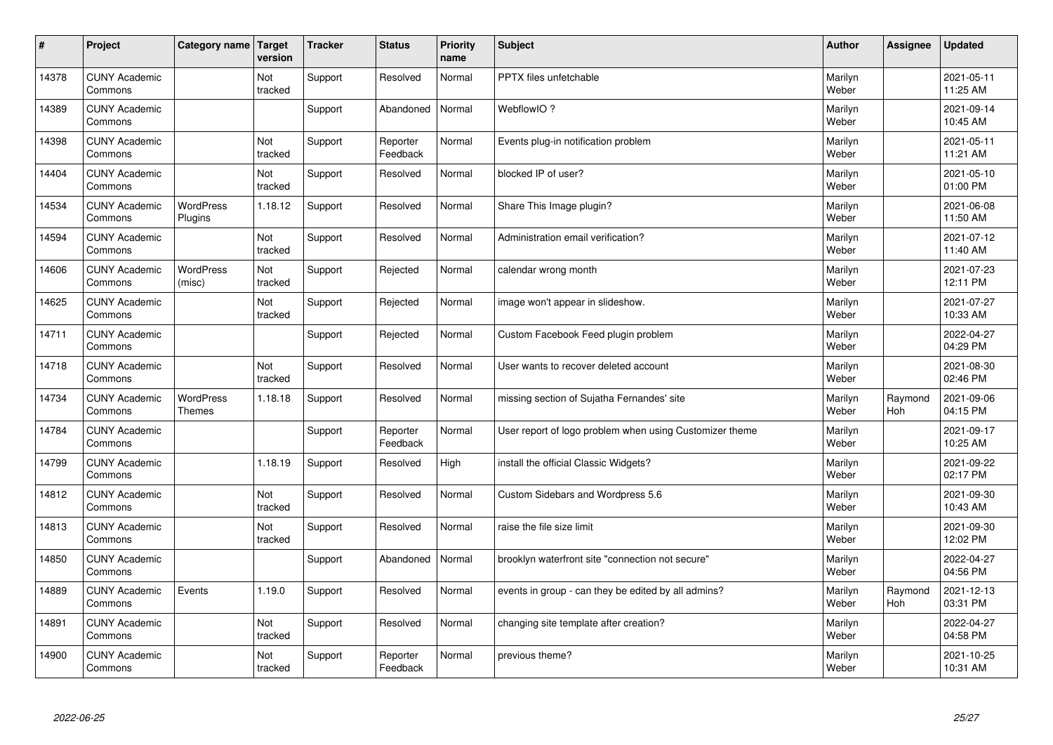| $\vert$ # | Project                         | Category name   Target            | version        | <b>Tracker</b> | <b>Status</b>        | <b>Priority</b><br>name | <b>Subject</b>                                          | <b>Author</b>    | <b>Assignee</b>       | <b>Updated</b>         |
|-----------|---------------------------------|-----------------------------------|----------------|----------------|----------------------|-------------------------|---------------------------------------------------------|------------------|-----------------------|------------------------|
| 14378     | <b>CUNY Academic</b><br>Commons |                                   | Not<br>tracked | Support        | Resolved             | Normal                  | <b>PPTX</b> files unfetchable                           | Marilyn<br>Weber |                       | 2021-05-11<br>11:25 AM |
| 14389     | <b>CUNY Academic</b><br>Commons |                                   |                | Support        | Abandoned            | Normal                  | WebflowIO?                                              | Marilyn<br>Weber |                       | 2021-09-14<br>10:45 AM |
| 14398     | <b>CUNY Academic</b><br>Commons |                                   | Not<br>tracked | Support        | Reporter<br>Feedback | Normal                  | Events plug-in notification problem                     | Marilyn<br>Weber |                       | 2021-05-11<br>11:21 AM |
| 14404     | <b>CUNY Academic</b><br>Commons |                                   | Not<br>tracked | Support        | Resolved             | Normal                  | blocked IP of user?                                     | Marilyn<br>Weber |                       | 2021-05-10<br>01:00 PM |
| 14534     | <b>CUNY Academic</b><br>Commons | WordPress<br>Plugins              | 1.18.12        | Support        | Resolved             | Normal                  | Share This Image plugin?                                | Marilyn<br>Weber |                       | 2021-06-08<br>11:50 AM |
| 14594     | <b>CUNY Academic</b><br>Commons |                                   | Not<br>tracked | Support        | Resolved             | Normal                  | Administration email verification?                      | Marilyn<br>Weber |                       | 2021-07-12<br>11:40 AM |
| 14606     | <b>CUNY Academic</b><br>Commons | <b>WordPress</b><br>(misc)        | Not<br>tracked | Support        | Rejected             | Normal                  | calendar wrong month                                    | Marilyn<br>Weber |                       | 2021-07-23<br>12:11 PM |
| 14625     | <b>CUNY Academic</b><br>Commons |                                   | Not<br>tracked | Support        | Rejected             | Normal                  | image won't appear in slideshow.                        | Marilyn<br>Weber |                       | 2021-07-27<br>10:33 AM |
| 14711     | <b>CUNY Academic</b><br>Commons |                                   |                | Support        | Rejected             | Normal                  | Custom Facebook Feed plugin problem                     | Marilyn<br>Weber |                       | 2022-04-27<br>04:29 PM |
| 14718     | <b>CUNY Academic</b><br>Commons |                                   | Not<br>tracked | Support        | Resolved             | Normal                  | User wants to recover deleted account                   | Marilyn<br>Weber |                       | 2021-08-30<br>02:46 PM |
| 14734     | <b>CUNY Academic</b><br>Commons | <b>WordPress</b><br><b>Themes</b> | 1.18.18        | Support        | Resolved             | Normal                  | missing section of Sujatha Fernandes' site              | Marilyn<br>Weber | Raymond<br><b>Hoh</b> | 2021-09-06<br>04:15 PM |
| 14784     | <b>CUNY Academic</b><br>Commons |                                   |                | Support        | Reporter<br>Feedback | Normal                  | User report of logo problem when using Customizer theme | Marilyn<br>Weber |                       | 2021-09-17<br>10:25 AM |
| 14799     | <b>CUNY Academic</b><br>Commons |                                   | 1.18.19        | Support        | Resolved             | High                    | install the official Classic Widgets?                   | Marilyn<br>Weber |                       | 2021-09-22<br>02:17 PM |
| 14812     | <b>CUNY Academic</b><br>Commons |                                   | Not<br>tracked | Support        | Resolved             | Normal                  | Custom Sidebars and Wordpress 5.6                       | Marilyn<br>Weber |                       | 2021-09-30<br>10:43 AM |
| 14813     | <b>CUNY Academic</b><br>Commons |                                   | Not<br>tracked | Support        | Resolved             | Normal                  | raise the file size limit                               | Marilyn<br>Weber |                       | 2021-09-30<br>12:02 PM |
| 14850     | <b>CUNY Academic</b><br>Commons |                                   |                | Support        | Abandoned            | Normal                  | brooklyn waterfront site "connection not secure"        | Marilyn<br>Weber |                       | 2022-04-27<br>04:56 PM |
| 14889     | <b>CUNY Academic</b><br>Commons | Events                            | 1.19.0         | Support        | Resolved             | Normal                  | events in group - can they be edited by all admins?     | Marilyn<br>Weber | Raymond<br>Hoh        | 2021-12-13<br>03:31 PM |
| 14891     | <b>CUNY Academic</b><br>Commons |                                   | Not<br>tracked | Support        | Resolved             | Normal                  | changing site template after creation?                  | Marilyn<br>Weber |                       | 2022-04-27<br>04:58 PM |
| 14900     | <b>CUNY Academic</b><br>Commons |                                   | Not<br>tracked | Support        | Reporter<br>Feedback | Normal                  | previous theme?                                         | Marilyn<br>Weber |                       | 2021-10-25<br>10:31 AM |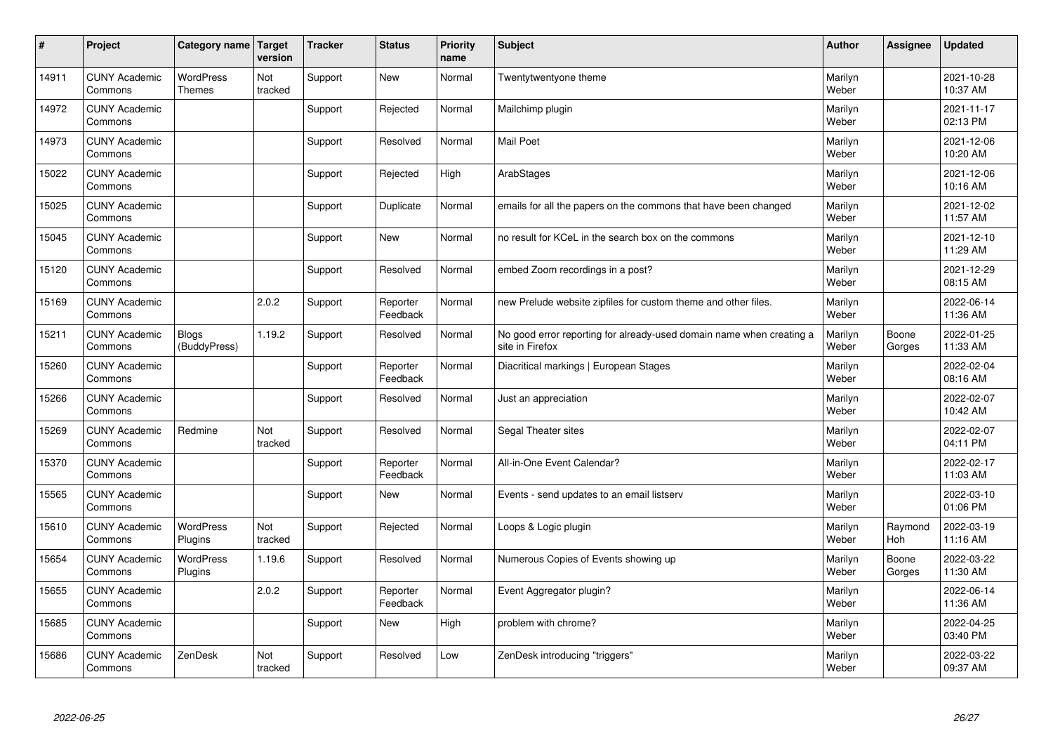| #     | Project                         | Category name   Target            | version        | <b>Tracker</b> | <b>Status</b>        | <b>Priority</b><br>name | <b>Subject</b>                                                                          | <b>Author</b>    | Assignee              | <b>Updated</b>         |
|-------|---------------------------------|-----------------------------------|----------------|----------------|----------------------|-------------------------|-----------------------------------------------------------------------------------------|------------------|-----------------------|------------------------|
| 14911 | <b>CUNY Academic</b><br>Commons | <b>WordPress</b><br><b>Themes</b> | Not<br>tracked | Support        | <b>New</b>           | Normal                  | Twentytwentyone theme                                                                   | Marilyn<br>Weber |                       | 2021-10-28<br>10:37 AM |
| 14972 | <b>CUNY Academic</b><br>Commons |                                   |                | Support        | Rejected             | Normal                  | Mailchimp plugin                                                                        | Marilyn<br>Weber |                       | 2021-11-17<br>02:13 PM |
| 14973 | <b>CUNY Academic</b><br>Commons |                                   |                | Support        | Resolved             | Normal                  | <b>Mail Poet</b>                                                                        | Marilyn<br>Weber |                       | 2021-12-06<br>10:20 AM |
| 15022 | <b>CUNY Academic</b><br>Commons |                                   |                | Support        | Rejected             | High                    | ArabStages                                                                              | Marilyn<br>Weber |                       | 2021-12-06<br>10:16 AM |
| 15025 | <b>CUNY Academic</b><br>Commons |                                   |                | Support        | Duplicate            | Normal                  | emails for all the papers on the commons that have been changed                         | Marilyn<br>Weber |                       | 2021-12-02<br>11:57 AM |
| 15045 | <b>CUNY Academic</b><br>Commons |                                   |                | Support        | <b>New</b>           | Normal                  | no result for KCeL in the search box on the commons                                     | Marilyn<br>Weber |                       | 2021-12-10<br>11:29 AM |
| 15120 | <b>CUNY Academic</b><br>Commons |                                   |                | Support        | Resolved             | Normal                  | embed Zoom recordings in a post?                                                        | Marilyn<br>Weber |                       | 2021-12-29<br>08:15 AM |
| 15169 | <b>CUNY Academic</b><br>Commons |                                   | 2.0.2          | Support        | Reporter<br>Feedback | Normal                  | new Prelude website zipfiles for custom theme and other files.                          | Marilyn<br>Weber |                       | 2022-06-14<br>11:36 AM |
| 15211 | <b>CUNY Academic</b><br>Commons | <b>Blogs</b><br>(BuddyPress)      | 1.19.2         | Support        | Resolved             | Normal                  | No good error reporting for already-used domain name when creating a<br>site in Firefox | Marilyn<br>Weber | Boone<br>Gorges       | 2022-01-25<br>11:33 AM |
| 15260 | <b>CUNY Academic</b><br>Commons |                                   |                | Support        | Reporter<br>Feedback | Normal                  | Diacritical markings   European Stages                                                  | Marilyn<br>Weber |                       | 2022-02-04<br>08:16 AM |
| 15266 | <b>CUNY Academic</b><br>Commons |                                   |                | Support        | Resolved             | Normal                  | Just an appreciation                                                                    | Marilyn<br>Weber |                       | 2022-02-07<br>10:42 AM |
| 15269 | <b>CUNY Academic</b><br>Commons | Redmine                           | Not<br>tracked | Support        | Resolved             | Normal                  | Segal Theater sites                                                                     | Marilyn<br>Weber |                       | 2022-02-07<br>04:11 PM |
| 15370 | <b>CUNY Academic</b><br>Commons |                                   |                | Support        | Reporter<br>Feedback | Normal                  | All-in-One Event Calendar?                                                              | Marilyn<br>Weber |                       | 2022-02-17<br>11:03 AM |
| 15565 | <b>CUNY Academic</b><br>Commons |                                   |                | Support        | <b>New</b>           | Normal                  | Events - send updates to an email listserv                                              | Marilyn<br>Weber |                       | 2022-03-10<br>01:06 PM |
| 15610 | <b>CUNY Academic</b><br>Commons | WordPress<br>Plugins              | Not<br>tracked | Support        | Rejected             | Normal                  | Loops & Logic plugin                                                                    | Marilyn<br>Weber | Raymond<br><b>Hoh</b> | 2022-03-19<br>11:16 AM |
| 15654 | <b>CUNY Academic</b><br>Commons | <b>WordPress</b><br>Plugins       | 1.19.6         | Support        | Resolved             | Normal                  | Numerous Copies of Events showing up                                                    | Marilyn<br>Weber | Boone<br>Gorges       | 2022-03-22<br>11:30 AM |
| 15655 | <b>CUNY Academic</b><br>Commons |                                   | 2.0.2          | Support        | Reporter<br>Feedback | Normal                  | Event Aggregator plugin?                                                                | Marilyn<br>Weber |                       | 2022-06-14<br>11:36 AM |
| 15685 | <b>CUNY Academic</b><br>Commons |                                   |                | Support        | <b>New</b>           | High                    | problem with chrome?                                                                    | Marilyn<br>Weber |                       | 2022-04-25<br>03:40 PM |
| 15686 | <b>CUNY Academic</b><br>Commons | ZenDesk                           | Not<br>tracked | Support        | Resolved             | Low                     | ZenDesk introducing "triggers"                                                          | Marilyn<br>Weber |                       | 2022-03-22<br>09:37 AM |